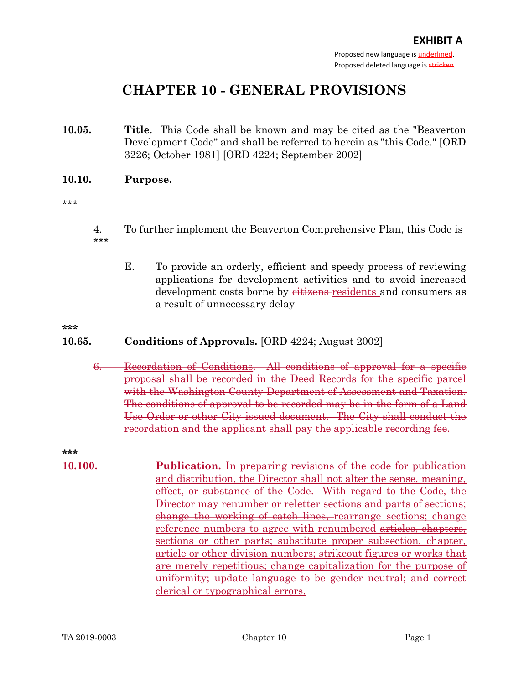Proposed new language is underlined. Proposed deleted language is stricken.

# CHAPTER 10 - GENERAL PROVISIONS

- 10.05. Title. This Code shall be known and may be cited as the "Beaverton Development Code" and shall be referred to herein as "this Code." [ORD 3226; October 1981] [ORD 4224; September 2002]
- 10.10. Purpose.

\*\*\*

- 4. To further implement the Beaverton Comprehensive Plan, this Code is
- \*\*\*
- E. To provide an orderly, efficient and speedy process of reviewing applications for development activities and to avoid increased development costs borne by eitizens-residents and consumers as a result of unnecessary delay

\*\*\*

### 10.65. Conditions of Approvals. [ORD 4224; August 2002]

6. Recordation of Conditions. All conditions of approval for a specific proposal shall be recorded in the Deed Records for the specific parcel with the Washington County Department of Assessment and Taxation. The conditions of approval to be recorded may be in the form of a Land Use Order or other City issued document. The City shall conduct the recordation and the applicant shall pay the applicable recording fee.

\*\*\*

10.100. Publication. In preparing revisions of the code for publication and distribution, the Director shall not alter the sense, meaning, effect, or substance of the Code. With regard to the Code, the Director may renumber or reletter sections and parts of sections; change the working of catch lines, rearrange sections; change reference numbers to agree with renumbered articles, chapters, sections or other parts; substitute proper subsection, chapter, article or other division numbers; strikeout figures or works that are merely repetitious; change capitalization for the purpose of uniformity; update language to be gender neutral; and correct clerical or typographical errors.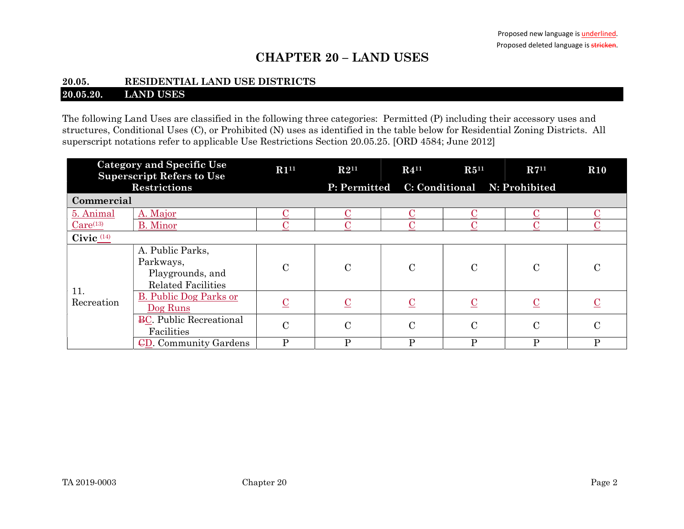# CHAPTER 20 – LAND USES

#### 20.05. RESIDENTIAL LAND USE DISTRICTS 20.05.20. LAND USES

The following Land Uses are classified in the following three categories: Permitted (P) including their accessory uses and structures, Conditional Uses (C), or Prohibited (N) uses as identified in the table below for Residential Zoning Districts. All superscript notations refer to applicable Use Restrictions Section 20.05.25. [ORD 4584; June 2012]

| <b>Category and Specific Use</b><br><b>Superscript Refers to Use</b> |                                                                                | R1 <sup>11</sup>         | $R2^{11}$      | $R4^{11}$       |                              | $R7^{11}$      | <b>R10</b> |
|----------------------------------------------------------------------|--------------------------------------------------------------------------------|--------------------------|----------------|-----------------|------------------------------|----------------|------------|
| <b>Restrictions</b>                                                  |                                                                                |                          | P: Permitted   |                 | C: Conditional N: Prohibited |                |            |
| Commercial                                                           |                                                                                |                          |                |                 |                              |                |            |
| 5. Animal                                                            | A. Major                                                                       |                          |                |                 |                              |                |            |
| $Care^{(13)}$                                                        | <b>B.</b> Minor                                                                |                          |                |                 |                              |                |            |
| Civic $(14)$                                                         |                                                                                |                          |                |                 |                              |                |            |
| 11.<br>Recreation                                                    | A. Public Parks,<br>Parkways,<br>Playgrounds, and<br><b>Related Facilities</b> | $\mathcal{C}$            | $\mathcal{C}$  | $\mathcal{C}$   | $\mathcal{C}$                | $\mathcal{C}$  | C          |
|                                                                      | <b>B.</b> Public Dog Parks or<br>Dog Runs                                      | $\underline{\mathrm{C}}$ | $\overline{C}$ | $\underline{C}$ | $\underline{C}$              | $\overline{C}$ |            |
|                                                                      | <b>BC.</b> Public Recreational<br>Facilities                                   | $\overline{C}$           | $\mathcal{C}$  | $\mathcal{C}$   | $\mathbf C$                  | $\mathcal{C}$  | C          |
|                                                                      | <b>CD.</b> Community Gardens                                                   | P                        | P              | P               | P                            | D              | Р          |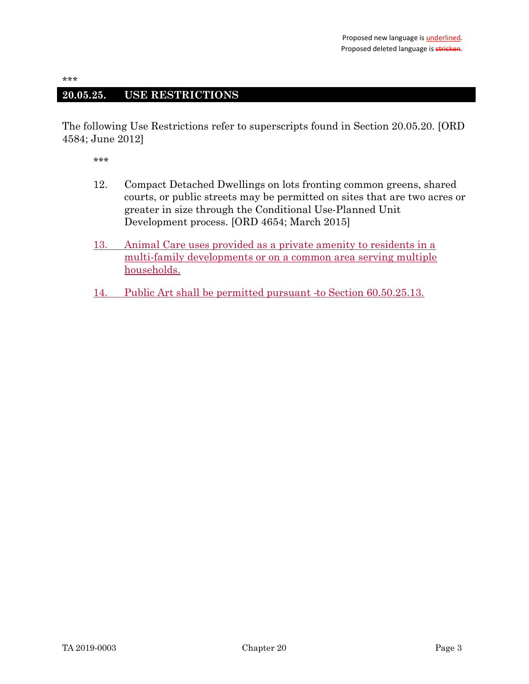# 20.05.25. USE RESTRICTIONS

The following Use Restrictions refer to superscripts found in Section 20.05.20. [ORD 4584; June 2012]

- 12. Compact Detached Dwellings on lots fronting common greens, shared courts, or public streets may be permitted on sites that are two acres or greater in size through the Conditional Use-Planned Unit Development process. [ORD 4654; March 2015]
- 13. Animal Care uses provided as a private amenity to residents in a multi-family developments or on a common area serving multiple households.
- 14. Public Art shall be permitted pursuant to Section 60.50.25.13.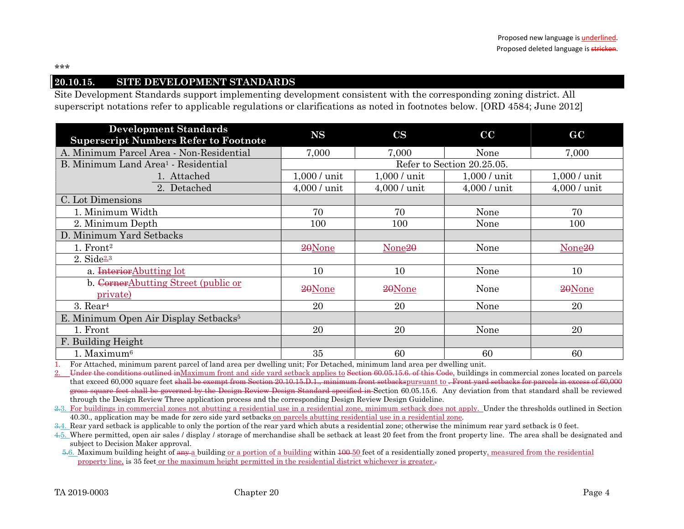#### 20.10.15. SITE DEVELOPMENT STANDARDS

Site Development Standards support implementing development consistent with the corresponding zoning district. All superscript notations refer to applicable regulations or clarifications as noted in footnotes below. [ORD 4584; June 2012]

| <b>Development Standards</b><br><b>Superscript Numbers Refer to Footnote</b> | <b>NS</b>                  | $\mathbf{CS}$                   | $\overline{\mathbf{C}}$ | GC                 |  |  |  |  |
|------------------------------------------------------------------------------|----------------------------|---------------------------------|-------------------------|--------------------|--|--|--|--|
| A. Minimum Parcel Area - Non-Residential                                     | 7,000                      | 7,000                           | None                    | 7,000              |  |  |  |  |
| B. Minimum Land Area <sup>1</sup> - Residential                              | Refer to Section 20.25.05. |                                 |                         |                    |  |  |  |  |
| 1. Attached                                                                  | 1,000 / unit               | $1,000$ / unit<br>$1,000/$ unit |                         | $1,000/$ unit      |  |  |  |  |
| 2. Detached                                                                  | 4,000 / unit               | 4,000 / unit                    | 4,000 / unit            | 4,000 / unit       |  |  |  |  |
| C. Lot Dimensions                                                            |                            |                                 |                         |                    |  |  |  |  |
| 1. Minimum Width                                                             | 70                         | 70                              | None                    | 70                 |  |  |  |  |
| 2. Minimum Depth                                                             | 100                        | 100                             | None                    | 100                |  |  |  |  |
| D. Minimum Yard Setbacks                                                     |                            |                                 |                         |                    |  |  |  |  |
| $1.$ Front <sup>2</sup>                                                      | 20None                     | None <sub>20</sub>              | None                    | None <sub>20</sub> |  |  |  |  |
| $2. \text{ Side}^{\underline{2,3}}$                                          |                            |                                 |                         |                    |  |  |  |  |
| a. Interior Abutting lot                                                     | 10                         | 10                              | None                    | 10                 |  |  |  |  |
| b. CornerAbutting Street (public or                                          | 20None                     | 20None                          | None                    | 20None             |  |  |  |  |
| private)                                                                     |                            |                                 |                         |                    |  |  |  |  |
| $3.$ Rear <sup>4</sup>                                                       | 20                         | 20                              | None                    | 20                 |  |  |  |  |
| E. Minimum Open Air Display Setbacks <sup>5</sup>                            |                            |                                 |                         |                    |  |  |  |  |
| 1. Front                                                                     | 20                         | 20                              | None                    | 20                 |  |  |  |  |
| F. Building Height                                                           |                            |                                 |                         |                    |  |  |  |  |
| 1. Maximum <sup>6</sup>                                                      | 35                         | 60                              | 60                      | 60                 |  |  |  |  |

1. For Attached, minimum parent parcel of land area per dwelling unit; For Detached, minimum land area per dwelling unit.

2. Under the conditions outlined inMaximum front and side yard setback applies to Section 60.05.15.6. of this Code, buildings in commercial zones located on parcels that exceed 60,000 square feet shall be exempt from Section 20.10.15.D.1., minimum front setbackspursuant to . Front yard setbacks for parcels in excess of 60,000 gross square feet shall be governed by the Design Review Design Standard specified in Section 60.05.15.6. Any deviation from that standard shall be reviewed through the Design Review Three application process and the corresponding Design Review Design Guideline.

2.3. For buildings in commercial zones not abutting a residential use in a residential zone, minimum setback does not apply. Under the thresholds outlined in Section 40.30., application may be made for zero side yard setbacks on parcels abutting residential use in a residential zone.

3.4. Rear yard setback is applicable to only the portion of the rear yard which abuts a residential zone; otherwise the minimum rear yard setback is 0 feet.

4.5. Where permitted, open air sales / display / storage of merchandise shall be setback at least 20 feet from the front property line. The area shall be designated and subject to Decision Maker approval.

5.6. Maximum building height of any a building or a portion of a building within 100-50 feet of a residentially zoned property, measured from the residential property line, is 35 feet or the maximum height permitted in the residential district whichever is greater..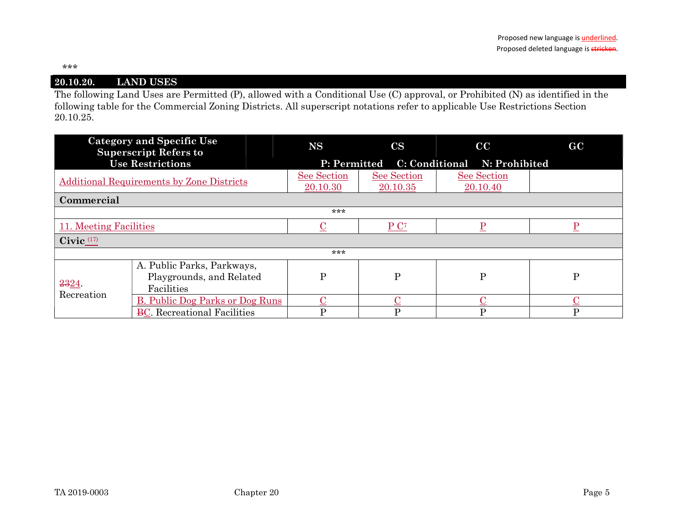#### 20.10.20. LAND USES

The following Land Uses are Permitted (P), allowed with a Conditional Use (C) approval, or Prohibited (N) as identified in the following table for the Commercial Zoning Districts. All superscript notations refer to applicable Use Restrictions Section 20.10.25.

|                        | <b>Category and Specific Use</b><br><b>Superscript Refers to</b>     | <b>NS</b>                                 | $\mathbf{CS}$           | cc                      | GC |  |  |  |  |
|------------------------|----------------------------------------------------------------------|-------------------------------------------|-------------------------|-------------------------|----|--|--|--|--|
|                        | <b>Use Restrictions</b>                                              | P: Permitted C: Conditional N: Prohibited |                         |                         |    |  |  |  |  |
|                        | <b>Additional Requirements by Zone Districts</b>                     | See Section<br>20.10.30                   | See Section<br>20.10.35 | See Section<br>20.10.40 |    |  |  |  |  |
| Commercial             |                                                                      |                                           |                         |                         |    |  |  |  |  |
| ***                    |                                                                      |                                           |                         |                         |    |  |  |  |  |
| 11. Meeting Facilities |                                                                      | С                                         | P C <sup>7</sup>        | D                       |    |  |  |  |  |
| Civic $(17)$           |                                                                      |                                           |                         |                         |    |  |  |  |  |
| ***                    |                                                                      |                                           |                         |                         |    |  |  |  |  |
| 2324.<br>Recreation    | A. Public Parks, Parkways,<br>Playgrounds, and Related<br>Facilities | Ρ                                         | P                       | $\mathbf{P}$            | P  |  |  |  |  |
|                        | <b>B.</b> Public Dog Parks or Dog Runs                               |                                           |                         |                         |    |  |  |  |  |
|                        | <b>BC.</b> Recreational Facilities                                   | D                                         | D                       | D                       | D  |  |  |  |  |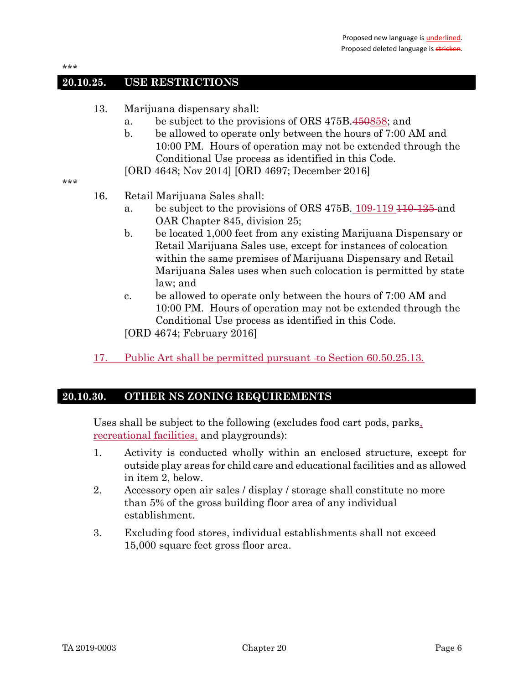#### 20.10.25. USE RESTRICTIONS

- 13. Marijuana dispensary shall:
	- a. be subject to the provisions of ORS 475B.450858; and
	- b. be allowed to operate only between the hours of 7:00 AM and 10:00 PM. Hours of operation may not be extended through the Conditional Use process as identified in this Code.
	- [ORD 4648; Nov 2014] [ORD 4697; December 2016]

\*\*\*

- 16. Retail Marijuana Sales shall:
	- a. be subject to the provisions of ORS 475B. 109-119 110-125 and OAR Chapter 845, division 25;
	- b. be located 1,000 feet from any existing Marijuana Dispensary or Retail Marijuana Sales use, except for instances of colocation within the same premises of Marijuana Dispensary and Retail Marijuana Sales uses when such colocation is permitted by state law; and
	- c. be allowed to operate only between the hours of 7:00 AM and 10:00 PM. Hours of operation may not be extended through the Conditional Use process as identified in this Code.
	- [ORD 4674; February 2016]
- 17. Public Art shall be permitted pursuant -to Section 60.50.25.13.

#### 20.10.30. OTHER NS ZONING REQUIREMENTS

Uses shall be subject to the following (excludes food cart pods, parks, recreational facilities, and playgrounds):

- 1. Activity is conducted wholly within an enclosed structure, except for outside play areas for child care and educational facilities and as allowed in item 2, below.
- 2. Accessory open air sales / display / storage shall constitute no more than 5% of the gross building floor area of any individual establishment.
- 3. Excluding food stores, individual establishments shall not exceed 15,000 square feet gross floor area.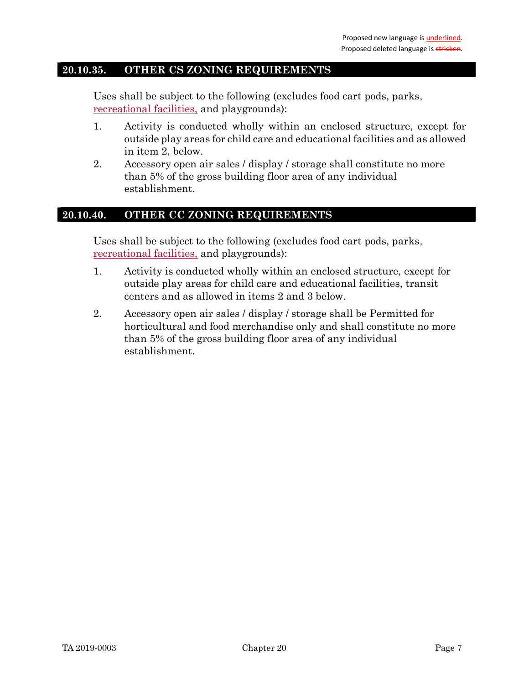## 20.10.35. OTHER CS ZONING REQUIREMENTS

Uses shall be subject to the following (excludes food cart pods, parks, recreational facilities, and playgrounds):

- 1. Activity is conducted wholly within an enclosed structure, except for outside play areas for child care and educational facilities and as allowed in item 2, below.
- 2. Accessory open air sales / display / storage shall constitute no more than 5% of the gross building floor area of any individual establishment.

# 20.10.40. OTHER CC ZONING REQUIREMENTS

Uses shall be subject to the following (excludes food cart pods, parks, recreational facilities, and playgrounds):

- 1. Activity is conducted wholly within an enclosed structure, except for outside play areas for child care and educational facilities, transit centers and as allowed in items 2 and 3 below.
- 2. Accessory open air sales / display / storage shall be Permitted for horticultural and food merchandise only and shall constitute no more than 5% of the gross building floor area of any individual establishment.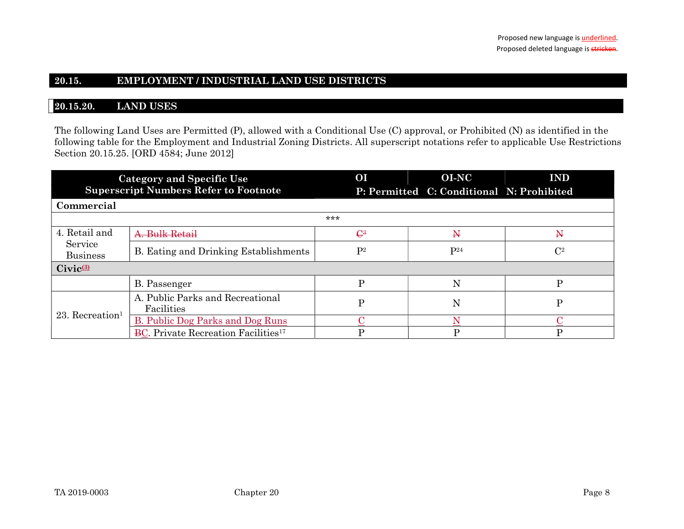# 20.15. EMPLOYMENT / INDUSTRIAL LAND USE DISTRICTS

#### 20.15.20. LAND USES

The following Land Uses are Permitted (P), allowed with a Conditional Use (C) approval, or Prohibited (N) as identified in the following table for the Employment and Industrial Zoning Districts. All superscript notations refer to applicable Use Restrictions Section 20.15.25. [ORD 4584; June 2012]

|                                                                     | <b>Category and Specific Use</b>                       | O <sub>I</sub>  | <b>OI-NC</b>                              | <b>IND</b>     |  |  |  |  |  |
|---------------------------------------------------------------------|--------------------------------------------------------|-----------------|-------------------------------------------|----------------|--|--|--|--|--|
|                                                                     | <b>Superscript Numbers Refer to Footnote</b>           |                 | P: Permitted C: Conditional N: Prohibited |                |  |  |  |  |  |
| Commercial                                                          |                                                        |                 |                                           |                |  |  |  |  |  |
| ***                                                                 |                                                        |                 |                                           |                |  |  |  |  |  |
| 4. Retail and                                                       | Bulk Retail                                            | $\mathcal{C}^3$ | $\mathbf N$                               | $\mathbf{N}$   |  |  |  |  |  |
| Service<br>B. Eating and Drinking Establishments<br><b>Business</b> |                                                        | P <sup>2</sup>  | P <sub>24</sub>                           | $\mathbb{C}^2$ |  |  |  |  |  |
| Civic <sup>(3)</sup>                                                |                                                        |                 |                                           |                |  |  |  |  |  |
|                                                                     | B. Passenger                                           | р               | N                                         | P              |  |  |  |  |  |
| $23.$ Recreation <sup>1</sup>                                       | A. Public Parks and Recreational<br>Facilities         | P               | N                                         | P              |  |  |  |  |  |
|                                                                     | B. Public Dog Parks and Dog Runs                       |                 |                                           |                |  |  |  |  |  |
|                                                                     | <b>BC.</b> Private Recreation Facilities <sup>17</sup> |                 | D                                         | D              |  |  |  |  |  |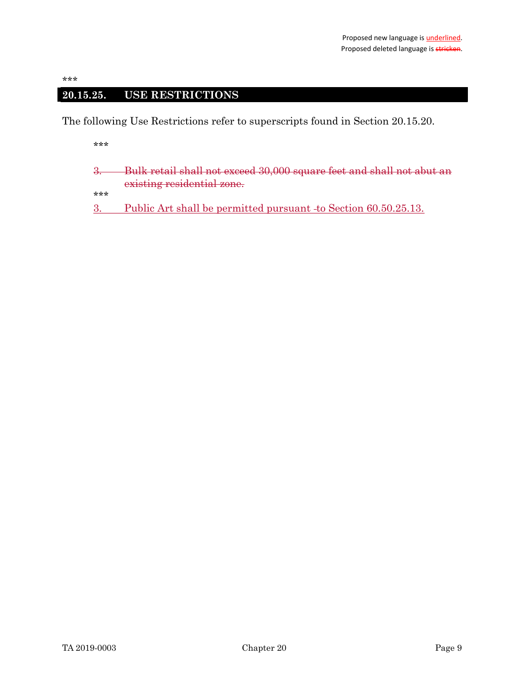# 20.15.25. USE RESTRICTIONS

The following Use Restrictions refer to superscripts found in Section 20.15.20.

\*\*\*

3. Bulk retail shall not exceed 30,000 square feet and shall not abut an existing residential zone.

\*\*\*

3. Public Art shall be permitted pursuant -to Section 60.50.25.13.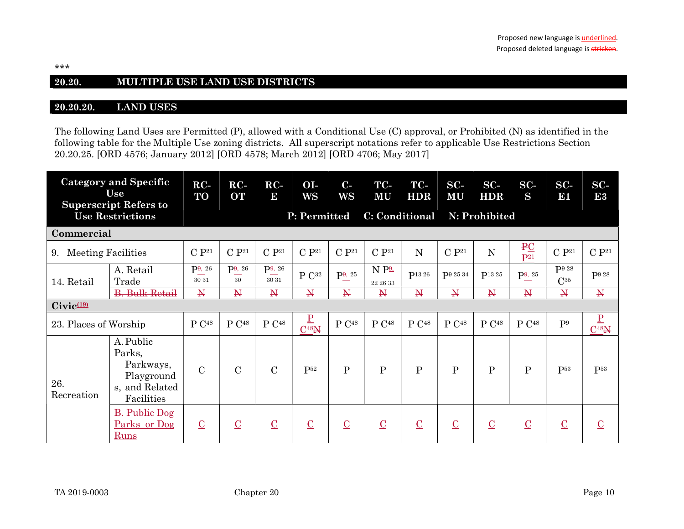# 20.20. MULTIPLE USE LAND USE DISTRICTS

### 20.20.20. LAND USES

The following Land Uses are Permitted (P), allowed with a Conditional Use (C) approval, or Prohibited (N) as identified in the following table for the Multiple Use zoning districts. All superscript notations refer to applicable Use Restrictions Section 20.20.25. [ORD 4576; January 2012] [ORD 4578; March 2012] [ORD 4706; May 2017]

| <b>Category and Specific</b><br>Use<br><b>Superscript Refers to</b> |                                                                                | $RC-$<br>TO          | $RC-$<br><b>OT</b> | $RC-$<br>10       | O <sub>I</sub><br>WS                  | $C-$<br>WS        | TC-<br><b>MU</b>             | TC-<br><b>HDR</b> | $SC-$<br><b>MU</b> | $SC-$<br><b>HDR</b> | $SC-$<br>S          | $SC-$<br>B1              | $SC-$<br>E3                            |
|---------------------------------------------------------------------|--------------------------------------------------------------------------------|----------------------|--------------------|-------------------|---------------------------------------|-------------------|------------------------------|-------------------|--------------------|---------------------|---------------------|--------------------------|----------------------------------------|
| <b>Use Restrictions</b>                                             |                                                                                |                      |                    |                   | P: Permitted                          |                   | C: Conditional               |                   |                    | N: Prohibited       |                     |                          |                                        |
| Commercial                                                          |                                                                                |                      |                    |                   |                                       |                   |                              |                   |                    |                     |                     |                          |                                        |
| <b>Meeting Facilities</b><br>9.                                     |                                                                                | C P <sup>21</sup>    | C P <sup>21</sup>  | C P <sup>21</sup> | C P <sup>21</sup>                     | C P <sup>21</sup> | C P <sup>21</sup>            | N                 | C P <sup>21</sup>  | $\mathbf N$         | $P_{1}$<br>$P^{21}$ | C P <sup>21</sup>        | C P <sup>21</sup>                      |
| 14. Retail                                                          | A. Retail<br>Trade                                                             | $P^{9, 26}$<br>30 31 | $P9$ , 26<br>30    | P9, 26<br>30 31   | $P C^{32}$                            | $P^{9, 25}$       | N P <sup>9</sup><br>22 26 33 | P13 26            | P9 25 34           | P <sub>13</sub> 25  | $P^{9, 25}$         | P9 28<br>$C^{35}$        | P9 28                                  |
|                                                                     | <b>B. Bulk Retail</b>                                                          | $\mathbf{N}$         | $\mathbf{N}$       | $\mathbb N$       | $\mathbf{N}$                          | $\mathbf{N}$      | $\mathbb N$                  | $\mathbf{N}$      | $\mathbb N$        | $\mathbf{N}$        | $\mathbf{N}$        | $\mathbf{N}$             | $\mathbb N$                            |
| $Civic$ <sup>(19)</sup>                                             |                                                                                |                      |                    |                   |                                       |                   |                              |                   |                    |                     |                     |                          |                                        |
| 23. Places of Worship                                               |                                                                                | P C <sup>48</sup>    | P C <sup>48</sup>  | P C <sup>48</sup> | $\underline{\mathrm{P}}$<br>$C^{48}N$ | P C <sup>48</sup> | P C <sup>48</sup>            | P C <sup>48</sup> | P C <sup>48</sup>  | P C <sup>48</sup>   | P C <sup>48</sup>   | P <sup>9</sup>           | $\underline{\mathbf{P}}$<br>$C^{48}$ N |
| 26.<br>Recreation                                                   | A. Public<br>Parks,<br>Parkways,<br>Playground<br>s, and Related<br>Facilities | $\overline{C}$       | $\mathcal{C}$      | $\overline{C}$    | P <sub>52</sub>                       | $\mathbf{P}$      | $\mathbf{P}$                 | $\mathbf{P}$      | $\mathbf{P}$       | $\mathbf{P}$        | $\mathbf{P}$        | P <sub>53</sub>          | P <sub>53</sub>                        |
|                                                                     | <b>B.</b> Public Dog<br>Parks or Dog<br><b>Runs</b>                            | $\underline{C}$      | $\underline{C}$    | $\underline{C}$   | $\underline{C}$                       | $\underline{C}$   | $\overline{C}$               | $\underline{C}$   | $\underline{C}$    | $\underline{C}$     | $\underline{C}$     | $\underline{\mathbf{C}}$ | $\underline{C}$                        |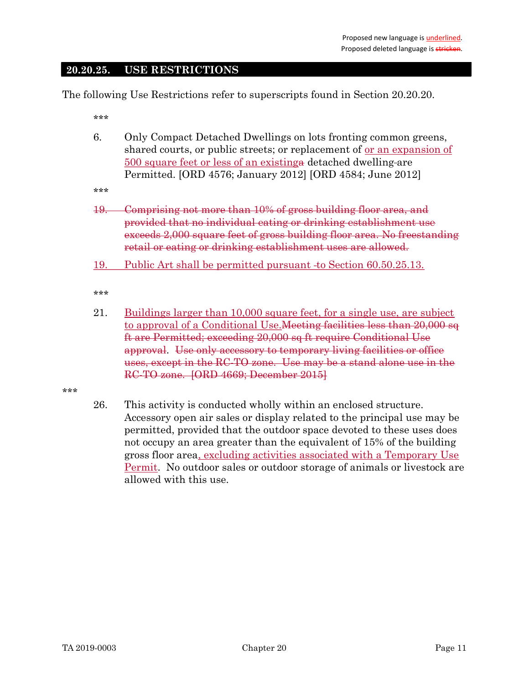### 20.20.25. USE RESTRICTIONS

The following Use Restrictions refer to superscripts found in Section 20.20.20.

\*\*\*

6. Only Compact Detached Dwellings on lots fronting common greens, shared courts, or public streets; or replacement of or an expansion of 500 square feet or less of an existinga detached dwelling are Permitted. [ORD 4576; January 2012] [ORD 4584; June 2012]

\*\*\*

- 19. Comprising not more than 10% of gross building floor area, and provided that no individual eating or drinking establishment use exceeds 2,000 square feet of gross building floor area. No freestanding retail or eating or drinking establishment uses are allowed.
- 19. Public Art shall be permitted pursuant -to Section 60.50.25.13.

\*\*\*

21. Buildings larger than 10,000 square feet, for a single use, are subject to approval of a Conditional Use.Meeting facilities less than 20,000 sq ft are Permitted; exceeding 20,000 sq ft require Conditional Use approval. Use only accessory to temporary living facilities or office uses, except in the RC-TO zone. Use may be a stand alone use in the RC-TO zone. [ORD 4669; December 2015]

\*\*\*

26. This activity is conducted wholly within an enclosed structure. Accessory open air sales or display related to the principal use may be permitted, provided that the outdoor space devoted to these uses does not occupy an area greater than the equivalent of 15% of the building gross floor area, excluding activities associated with a Temporary Use Permit. No outdoor sales or outdoor storage of animals or livestock are allowed with this use.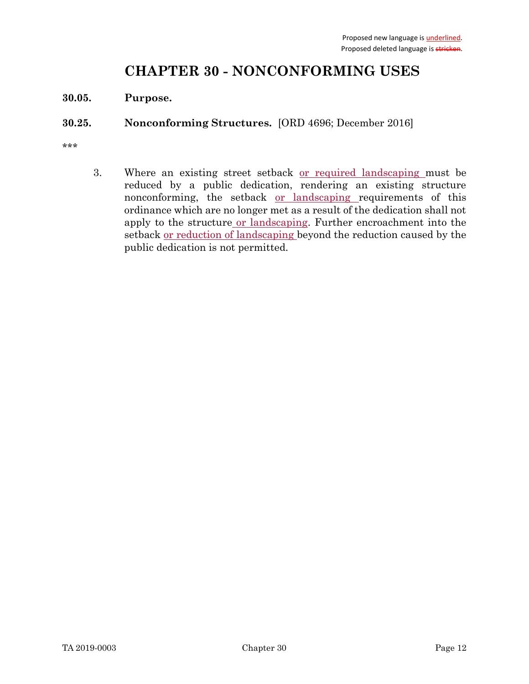# CHAPTER 30 - NONCONFORMING USES

- 30.05. Purpose.
- 30.25. Nonconforming Structures. [ORD 4696; December 2016]
- \*\*\*
- 3. Where an existing street setback or required landscaping must be reduced by a public dedication, rendering an existing structure nonconforming, the setback or landscaping requirements of this ordinance which are no longer met as a result of the dedication shall not apply to the structure or landscaping. Further encroachment into the setback or reduction of landscaping beyond the reduction caused by the public dedication is not permitted.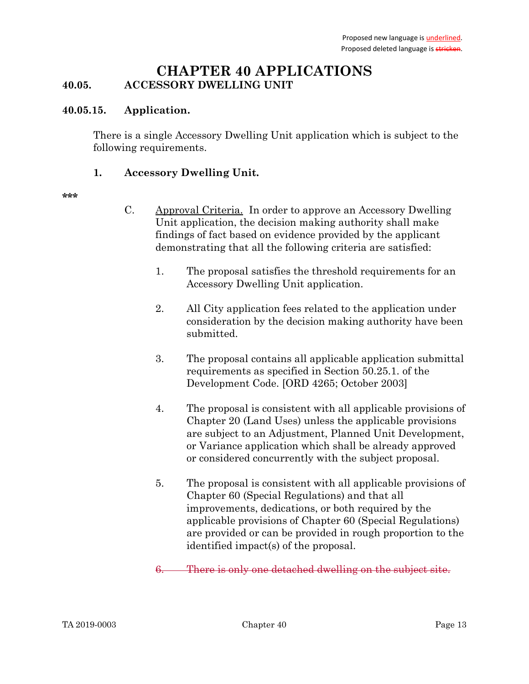# CHAPTER 40 APPLICATIONS 40.05. ACCESSORY DWELLING UNIT

### 40.05.15. Application.

There is a single Accessory Dwelling Unit application which is subject to the following requirements.

#### 1. Accessory Dwelling Unit.

#### \*\*\*\*

- C. Approval Criteria. In order to approve an Accessory Dwelling Unit application, the decision making authority shall make findings of fact based on evidence provided by the applicant demonstrating that all the following criteria are satisfied:
	- 1. The proposal satisfies the threshold requirements for an Accessory Dwelling Unit application.
	- 2. All City application fees related to the application under consideration by the decision making authority have been submitted.
	- 3. The proposal contains all applicable application submittal requirements as specified in Section 50.25.1. of the Development Code. [ORD 4265; October 2003]
	- 4. The proposal is consistent with all applicable provisions of Chapter 20 (Land Uses) unless the applicable provisions are subject to an Adjustment, Planned Unit Development, or Variance application which shall be already approved or considered concurrently with the subject proposal.
	- 5. The proposal is consistent with all applicable provisions of Chapter 60 (Special Regulations) and that all improvements, dedications, or both required by the applicable provisions of Chapter 60 (Special Regulations) are provided or can be provided in rough proportion to the identified impact(s) of the proposal.

6. There is only one detached dwelling on the subject site.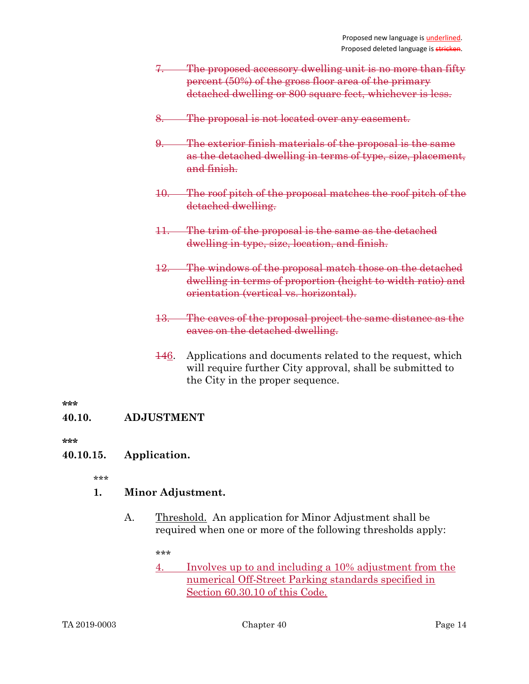- 7. The proposed accessory dwelling unit is no more than fifty percent (50%) of the gross floor area of the primary detached dwelling or 800 square feet, whichever is less.
- 8. The proposal is not located over any easement.
- 9. The exterior finish materials of the proposal is the same as the detached dwelling in terms of type, size, placement, and finish.
- 10. The roof pitch of the proposal matches the roof pitch of the detached dwelling.
- 11. The trim of the proposal is the same as the detached dwelling in type, size, location, and finish.
- 12. The windows of the proposal match those on the detached dwelling in terms of proportion (height to width ratio) and orientation (vertical vs. horizontal).
- 13. The eaves of the proposal project the same distance as the eaves on the detached dwelling.
- 146. Applications and documents related to the request, which will require further City approval, shall be submitted to the City in the proper sequence.

# 40.10. ADJUSTMENT

\*\*\*

## 40.10.15. Application.

\*\*\*

# 1. Minor Adjustment.

A. Threshold. An application for Minor Adjustment shall be required when one or more of the following thresholds apply:

\*\*\*

4. Involves up to and including a 10% adjustment from the numerical Off-Street Parking standards specified in Section 60.30.10 of this Code.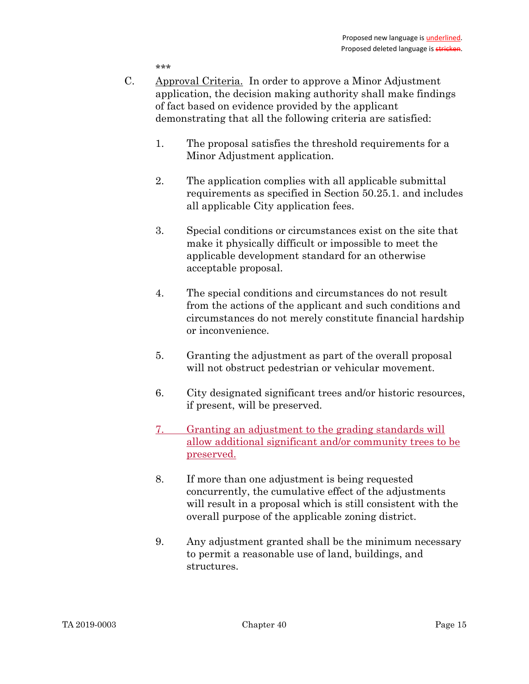- C. Approval Criteria. In order to approve a Minor Adjustment application, the decision making authority shall make findings of fact based on evidence provided by the applicant demonstrating that all the following criteria are satisfied:
	- 1. The proposal satisfies the threshold requirements for a Minor Adjustment application.
	- 2. The application complies with all applicable submittal requirements as specified in Section 50.25.1. and includes all applicable City application fees.
	- 3. Special conditions or circumstances exist on the site that make it physically difficult or impossible to meet the applicable development standard for an otherwise acceptable proposal.
	- 4. The special conditions and circumstances do not result from the actions of the applicant and such conditions and circumstances do not merely constitute financial hardship or inconvenience.
	- 5. Granting the adjustment as part of the overall proposal will not obstruct pedestrian or vehicular movement.
	- 6. City designated significant trees and/or historic resources, if present, will be preserved.
	- 7. Granting an adjustment to the grading standards will allow additional significant and/or community trees to be preserved.
	- 8. If more than one adjustment is being requested concurrently, the cumulative effect of the adjustments will result in a proposal which is still consistent with the overall purpose of the applicable zoning district.
	- 9. Any adjustment granted shall be the minimum necessary to permit a reasonable use of land, buildings, and structures.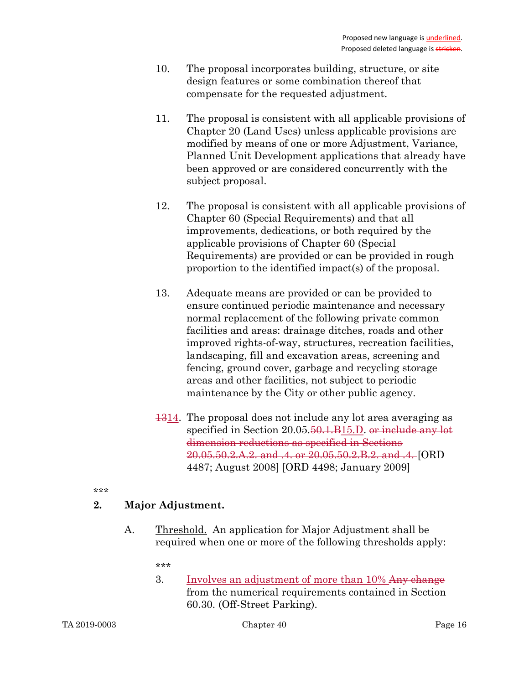- 10. The proposal incorporates building, structure, or site design features or some combination thereof that compensate for the requested adjustment.
- 11. The proposal is consistent with all applicable provisions of Chapter 20 (Land Uses) unless applicable provisions are modified by means of one or more Adjustment, Variance, Planned Unit Development applications that already have been approved or are considered concurrently with the subject proposal.
- 12. The proposal is consistent with all applicable provisions of Chapter 60 (Special Requirements) and that all improvements, dedications, or both required by the applicable provisions of Chapter 60 (Special Requirements) are provided or can be provided in rough proportion to the identified impact(s) of the proposal.
- 13. Adequate means are provided or can be provided to ensure continued periodic maintenance and necessary normal replacement of the following private common facilities and areas: drainage ditches, roads and other improved rights-of-way, structures, recreation facilities, landscaping, fill and excavation areas, screening and fencing, ground cover, garbage and recycling storage areas and other facilities, not subject to periodic maintenance by the City or other public agency.
- 1314. The proposal does not include any lot area averaging as specified in Section 20.05.<del>50.1.B</del>15.D. or include any lot dimension reductions as specified in Sections 20.05.50.2.A.2. and .4. or 20.05.50.2.B.2. and .4. [ORD 4487; August 2008] [ORD 4498; January 2009]

# 2. Major Adjustment.

A. Threshold. An application for Major Adjustment shall be required when one or more of the following thresholds apply:

\*\*\*

3. Involves an adjustment of more than 10% Any change from the numerical requirements contained in Section 60.30. (Off-Street Parking).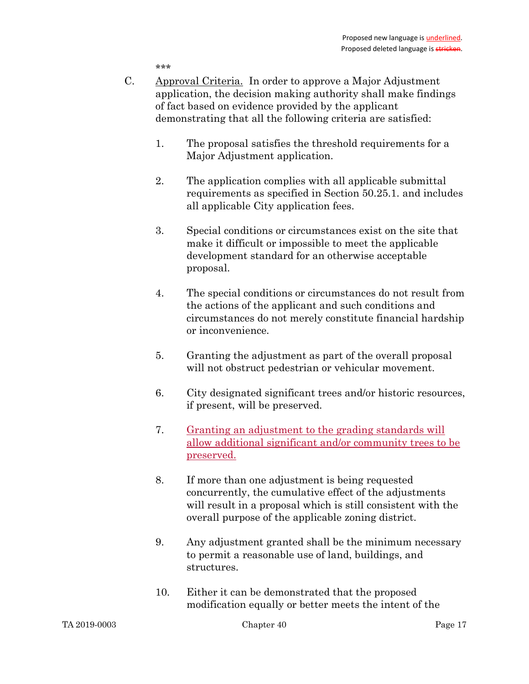- C. Approval Criteria. In order to approve a Major Adjustment application, the decision making authority shall make findings of fact based on evidence provided by the applicant demonstrating that all the following criteria are satisfied:
	- 1. The proposal satisfies the threshold requirements for a Major Adjustment application.
	- 2. The application complies with all applicable submittal requirements as specified in Section 50.25.1. and includes all applicable City application fees.
	- 3. Special conditions or circumstances exist on the site that make it difficult or impossible to meet the applicable development standard for an otherwise acceptable proposal.
	- 4. The special conditions or circumstances do not result from the actions of the applicant and such conditions and circumstances do not merely constitute financial hardship or inconvenience.
	- 5. Granting the adjustment as part of the overall proposal will not obstruct pedestrian or vehicular movement.
	- 6. City designated significant trees and/or historic resources, if present, will be preserved.
	- 7. Granting an adjustment to the grading standards will allow additional significant and/or community trees to be preserved.
	- 8. If more than one adjustment is being requested concurrently, the cumulative effect of the adjustments will result in a proposal which is still consistent with the overall purpose of the applicable zoning district.
	- 9. Any adjustment granted shall be the minimum necessary to permit a reasonable use of land, buildings, and structures.
	- 10. Either it can be demonstrated that the proposed modification equally or better meets the intent of the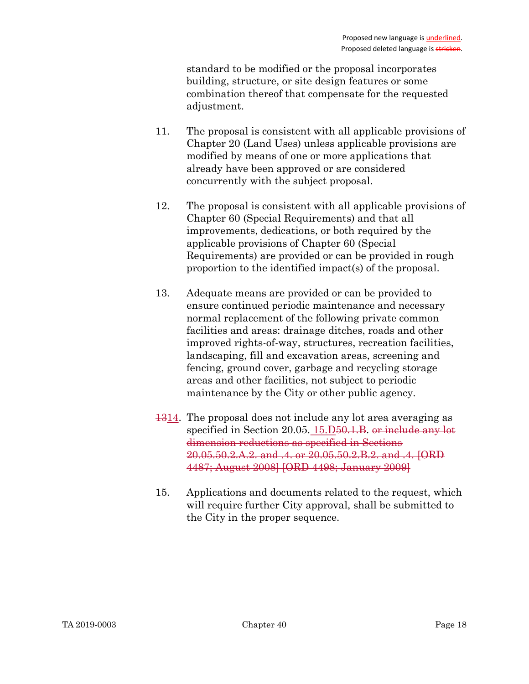standard to be modified or the proposal incorporates building, structure, or site design features or some combination thereof that compensate for the requested adjustment.

- 11. The proposal is consistent with all applicable provisions of Chapter 20 (Land Uses) unless applicable provisions are modified by means of one or more applications that already have been approved or are considered concurrently with the subject proposal.
- 12. The proposal is consistent with all applicable provisions of Chapter 60 (Special Requirements) and that all improvements, dedications, or both required by the applicable provisions of Chapter 60 (Special Requirements) are provided or can be provided in rough proportion to the identified impact(s) of the proposal.
- 13. Adequate means are provided or can be provided to ensure continued periodic maintenance and necessary normal replacement of the following private common facilities and areas: drainage ditches, roads and other improved rights-of-way, structures, recreation facilities, landscaping, fill and excavation areas, screening and fencing, ground cover, garbage and recycling storage areas and other facilities, not subject to periodic maintenance by the City or other public agency.
- 1314. The proposal does not include any lot area averaging as specified in Section 20.05. 15. <del>D50. 1. B</del>. or include any lot dimension reductions as specified in Sections 20.05.50.2.A.2. and .4. or 20.05.50.2.B.2. and .4. [ORD 4487; August 2008] [ORD 4498; January 2009]
- 15. Applications and documents related to the request, which will require further City approval, shall be submitted to the City in the proper sequence.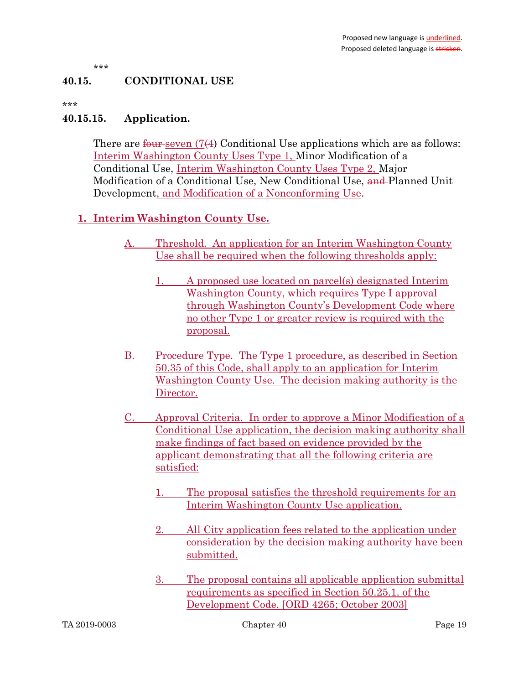# 40.15. CONDITIONAL USE

\*\*\*

# 40.15.15. Application.

There are four-seven (7(4) Conditional Use applications which are as follows: Interim Washington County Uses Type 1, Minor Modification of a Conditional Use, Interim Washington County Uses Type 2, Major Modification of a Conditional Use, New Conditional Use, and Planned Unit Development, and Modification of a Nonconforming Use.

# 1. Interim Washington County Use.

- Threshold. An application for an Interim Washington County Use shall be required when the following thresholds apply:
	- 1. A proposed use located on parcel(s) designated Interim Washington County, which requires Type I approval through Washington County's Development Code where no other Type 1 or greater review is required with the proposal.
- B. Procedure Type. The Type 1 procedure, as described in Section 50.35 of this Code, shall apply to an application for Interim Washington County Use. The decision making authority is the Director.
- C. Approval Criteria. In order to approve a Minor Modification of a Conditional Use application, the decision making authority shall make findings of fact based on evidence provided by the applicant demonstrating that all the following criteria are satisfied:
	- 1. The proposal satisfies the threshold requirements for an Interim Washington County Use application.
	- 2. All City application fees related to the application under consideration by the decision making authority have been submitted.
	- 3. The proposal contains all applicable application submittal requirements as specified in Section 50.25.1. of the Development Code. [ORD 4265; October 2003]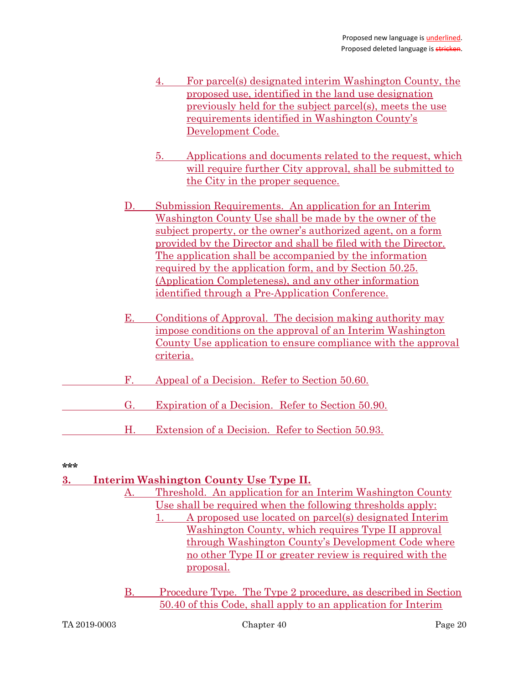- 4. For parcel(s) designated interim Washington County, the proposed use, identified in the land use designation previously held for the subject parcel(s), meets the use requirements identified in Washington County's Development Code.
- 5. Applications and documents related to the request, which will require further City approval, shall be submitted to the City in the proper sequence.
- D. Submission Requirements. An application for an Interim Washington County Use shall be made by the owner of the subject property, or the owner's authorized agent, on a form provided by the Director and shall be filed with the Director. The application shall be accompanied by the information required by the application form, and by Section 50.25. (Application Completeness), and any other information identified through a Pre-Application Conference.
- E. Conditions of Approval. The decision making authority may impose conditions on the approval of an Interim Washington County Use application to ensure compliance with the approval criteria.
- F. Appeal of a Decision. Refer to Section 50.60.
- G. Expiration of a Decision. Refer to Section 50.90.
	- H. Extension of a Decision. Refer to Section 50.93.

# 3. Interim Washington County Use Type II.

- A. Threshold. An application for an Interim Washington County Use shall be required when the following thresholds apply: 1. A proposed use located on parcel(s) designated Interim Washington County, which requires Type II approval through Washington County's Development Code where no other Type II or greater review is required with the proposal.
- B. Procedure Type. The Type 2 procedure, as described in Section 50.40 of this Code, shall apply to an application for Interim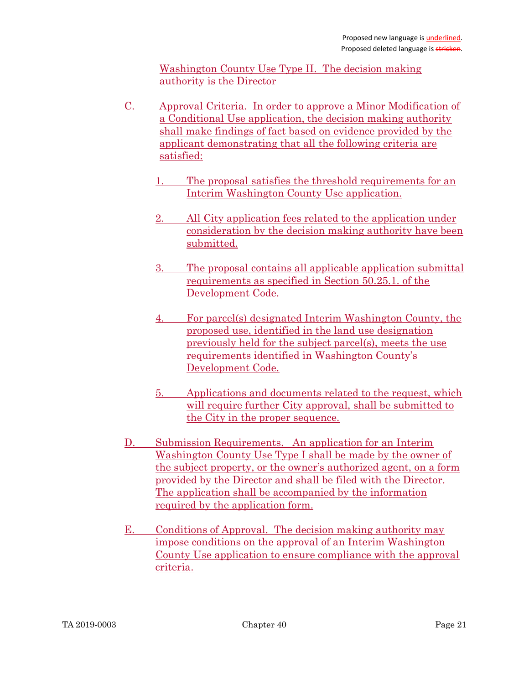Washington County Use Type II. The decision making authority is the Director

- C. Approval Criteria. In order to approve a Minor Modification of a Conditional Use application, the decision making authority shall make findings of fact based on evidence provided by the applicant demonstrating that all the following criteria are satisfied:
	- 1. The proposal satisfies the threshold requirements for an Interim Washington County Use application.
	- 2. All City application fees related to the application under consideration by the decision making authority have been submitted.
	- 3. The proposal contains all applicable application submittal requirements as specified in Section 50.25.1. of the Development Code.
	- 4. For parcel(s) designated Interim Washington County, the proposed use, identified in the land use designation previously held for the subject parcel(s), meets the use requirements identified in Washington County's Development Code.
	- 5. Applications and documents related to the request, which will require further City approval, shall be submitted to the City in the proper sequence.
- D. Submission Requirements. An application for an Interim Washington County Use Type I shall be made by the owner of the subject property, or the owner's authorized agent, on a form provided by the Director and shall be filed with the Director. The application shall be accompanied by the information required by the application form.
- E. Conditions of Approval. The decision making authority may impose conditions on the approval of an Interim Washington County Use application to ensure compliance with the approval criteria.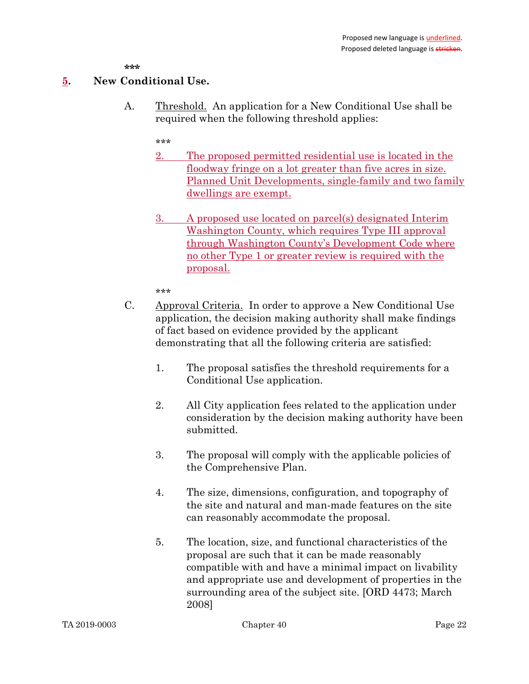# 5. New Conditional Use.

A. Threshold. An application for a New Conditional Use shall be required when the following threshold applies:

\*\*\*

- 2. The proposed permitted residential use is located in the floodway fringe on a lot greater than five acres in size. Planned Unit Developments, single-family and two family dwellings are exempt.
- 3. A proposed use located on parcel(s) designated Interim Washington County, which requires Type III approval through Washington County's Development Code where no other Type 1 or greater review is required with the proposal.

- C. Approval Criteria. In order to approve a New Conditional Use application, the decision making authority shall make findings of fact based on evidence provided by the applicant demonstrating that all the following criteria are satisfied:
	- 1. The proposal satisfies the threshold requirements for a Conditional Use application.
	- 2. All City application fees related to the application under consideration by the decision making authority have been submitted.
	- 3. The proposal will comply with the applicable policies of the Comprehensive Plan.
	- 4. The size, dimensions, configuration, and topography of the site and natural and man-made features on the site can reasonably accommodate the proposal.
	- 5. The location, size, and functional characteristics of the proposal are such that it can be made reasonably compatible with and have a minimal impact on livability and appropriate use and development of properties in the surrounding area of the subject site. [ORD 4473; March 2008]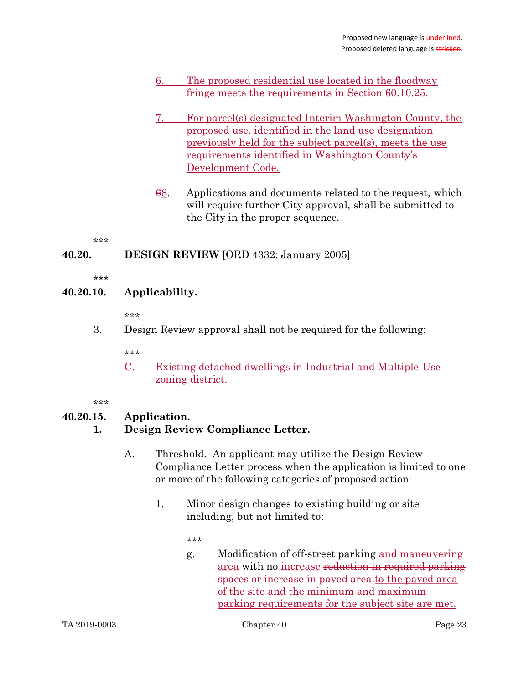- 6. The proposed residential use located in the floodway fringe meets the requirements in Section 60.10.25.
- 7. For parcel(s) designated Interim Washington County, the proposed use, identified in the land use designation previously held for the subject parcel(s), meets the use requirements identified in Washington County's Development Code.
- 68. Applications and documents related to the request, which will require further City approval, shall be submitted to the City in the proper sequence.

# 40.20. DESIGN REVIEW [ORD 4332; January 2005]

.<br>ماه ماه ماه

# 40.20.10. Applicability.

\*\*\*

3. Design Review approval shall not be required for the following:

\*\*\*

C. Existing detached dwellings in Industrial and Multiple-Use zoning district.

\*\*\*

# 40.20.15. Application.

# 1. Design Review Compliance Letter.

- A. Threshold. An applicant may utilize the Design Review Compliance Letter process when the application is limited to one or more of the following categories of proposed action:
	- 1. Minor design changes to existing building or site including, but not limited to:

\*\*\*

g. Modification of off-street parking and maneuvering area with no increase reduction in required parking spaces or increase in paved area.to the paved area of the site and the minimum and maximum parking requirements for the subject site are met.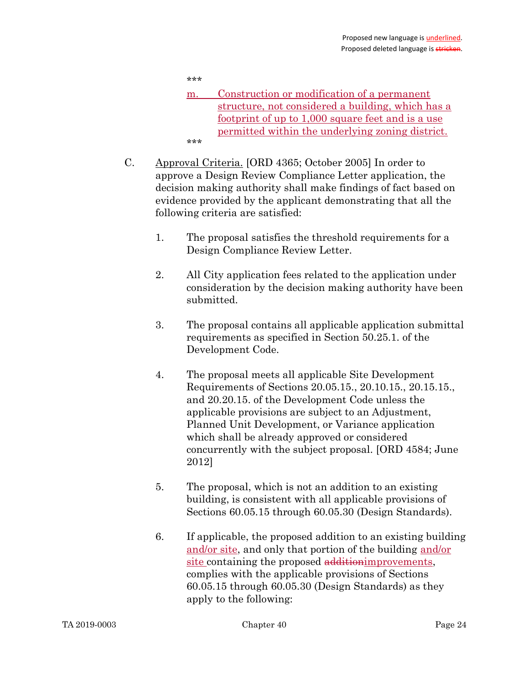- m. Construction or modification of a permanent structure, not considered a building, which has a footprint of up to 1,000 square feet and is a use permitted within the underlying zoning district. \*\*\*
- C. Approval Criteria. [ORD 4365; October 2005] In order to approve a Design Review Compliance Letter application, the decision making authority shall make findings of fact based on evidence provided by the applicant demonstrating that all the following criteria are satisfied:
	- 1. The proposal satisfies the threshold requirements for a Design Compliance Review Letter.
	- 2. All City application fees related to the application under consideration by the decision making authority have been submitted.
	- 3. The proposal contains all applicable application submittal requirements as specified in Section 50.25.1. of the Development Code.
	- 4. The proposal meets all applicable Site Development Requirements of Sections 20.05.15., 20.10.15., 20.15.15., and 20.20.15. of the Development Code unless the applicable provisions are subject to an Adjustment, Planned Unit Development, or Variance application which shall be already approved or considered concurrently with the subject proposal. [ORD 4584; June 2012]
	- 5. The proposal, which is not an addition to an existing building, is consistent with all applicable provisions of Sections 60.05.15 through 60.05.30 (Design Standards).
	- 6. If applicable, the proposed addition to an existing building and/or site, and only that portion of the building and/or site containing the proposed additionimprovements, complies with the applicable provisions of Sections 60.05.15 through 60.05.30 (Design Standards) as they apply to the following: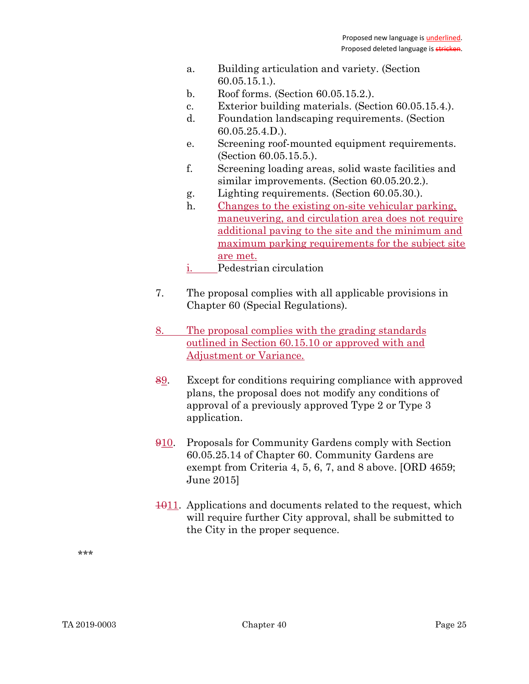- a. Building articulation and variety. (Section 60.05.15.1.).
- b. Roof forms. (Section 60.05.15.2.).
- c. Exterior building materials. (Section 60.05.15.4.).
- d. Foundation landscaping requirements. (Section 60.05.25.4.D.).
- e. Screening roof-mounted equipment requirements. (Section 60.05.15.5.).
- f. Screening loading areas, solid waste facilities and similar improvements. (Section 60.05.20.2.).
- g. Lighting requirements. (Section 60.05.30.).
- h. Changes to the existing on-site vehicular parking, maneuvering, and circulation area does not require additional paving to the site and the minimum and maximum parking requirements for the subject site are met.
- i. Pedestrian circulation
- 7. The proposal complies with all applicable provisions in Chapter 60 (Special Regulations).
- 8. The proposal complies with the grading standards outlined in Section 60.15.10 or approved with and Adjustment or Variance.
- 89. Except for conditions requiring compliance with approved plans, the proposal does not modify any conditions of approval of a previously approved Type 2 or Type 3 application.
- 910. Proposals for Community Gardens comply with Section 60.05.25.14 of Chapter 60. Community Gardens are exempt from Criteria 4, 5, 6, 7, and 8 above. [ORD 4659; June 2015]
- $1011.$  Applications and documents related to the request, which will require further City approval, shall be submitted to the City in the proper sequence.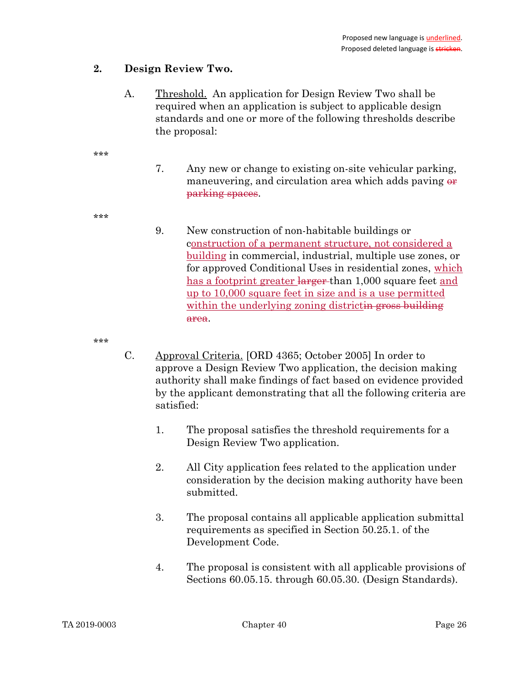# 2. Design Review Two.

- A. Threshold. An application for Design Review Two shall be required when an application is subject to applicable design standards and one or more of the following thresholds describe the proposal:
- \*\*\*
- 7. Any new or change to existing on-site vehicular parking, maneuvering, and circulation area which adds paving  $\theta$ parking spaces.
- \*\*\*
- 9. New construction of non-habitable buildings or construction of a permanent structure, not considered a building in commercial, industrial, multiple use zones, or for approved Conditional Uses in residential zones, which has a footprint greater larger-than 1,000 square feet and up to 10,000 square feet in size and is a use permitted within the underlying zoning districtin gross building area.

- C. Approval Criteria. [ORD 4365; October 2005] In order to approve a Design Review Two application, the decision making authority shall make findings of fact based on evidence provided by the applicant demonstrating that all the following criteria are satisfied:
	- 1. The proposal satisfies the threshold requirements for a Design Review Two application.
	- 2. All City application fees related to the application under consideration by the decision making authority have been submitted.
	- 3. The proposal contains all applicable application submittal requirements as specified in Section 50.25.1. of the Development Code.
	- 4. The proposal is consistent with all applicable provisions of Sections 60.05.15. through 60.05.30. (Design Standards).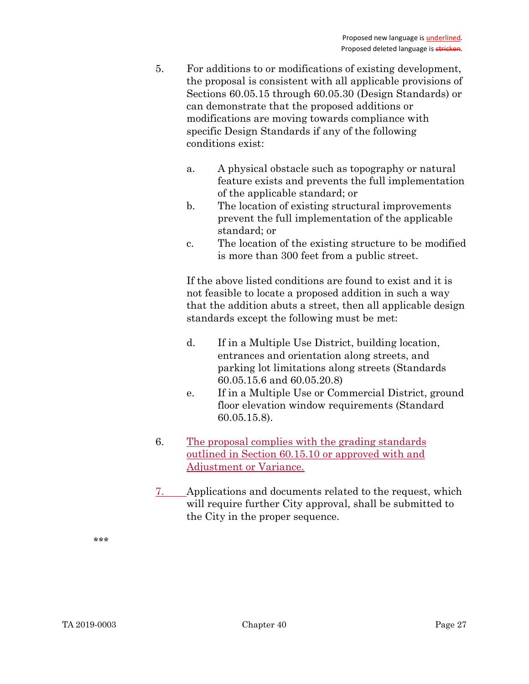- 5. For additions to or modifications of existing development, the proposal is consistent with all applicable provisions of Sections 60.05.15 through 60.05.30 (Design Standards) or can demonstrate that the proposed additions or modifications are moving towards compliance with specific Design Standards if any of the following conditions exist:
	- a. A physical obstacle such as topography or natural feature exists and prevents the full implementation of the applicable standard; or
	- b. The location of existing structural improvements prevent the full implementation of the applicable standard; or
	- c. The location of the existing structure to be modified is more than 300 feet from a public street.

If the above listed conditions are found to exist and it is not feasible to locate a proposed addition in such a way that the addition abuts a street, then all applicable design standards except the following must be met:

- d. If in a Multiple Use District, building location, entrances and orientation along streets, and parking lot limitations along streets (Standards 60.05.15.6 and 60.05.20.8)
- e. If in a Multiple Use or Commercial District, ground floor elevation window requirements (Standard 60.05.15.8).
- 6. The proposal complies with the grading standards outlined in Section 60.15.10 or approved with and Adjustment or Variance.
- 7. Applications and documents related to the request, which will require further City approval, shall be submitted to the City in the proper sequence.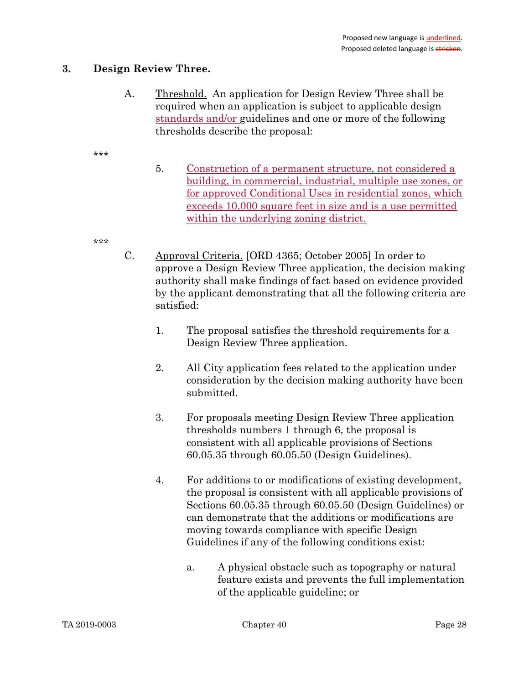# 3. Design Review Three.

A. Threshold. An application for Design Review Three shall be required when an application is subject to applicable design standards and/or guidelines and one or more of the following thresholds describe the proposal:

\*\*\*

5. Construction of a permanent structure, not considered a building, in commercial, industrial, multiple use zones, or for approved Conditional Uses in residential zones, which exceeds 10,000 square feet in size and is a use permitted within the underlying zoning district.

- C. Approval Criteria. [ORD 4365; October 2005] In order to approve a Design Review Three application, the decision making authority shall make findings of fact based on evidence provided by the applicant demonstrating that all the following criteria are satisfied:
	- 1. The proposal satisfies the threshold requirements for a Design Review Three application.
	- 2. All City application fees related to the application under consideration by the decision making authority have been submitted.
	- 3. For proposals meeting Design Review Three application thresholds numbers 1 through 6, the proposal is consistent with all applicable provisions of Sections 60.05.35 through 60.05.50 (Design Guidelines).
	- 4. For additions to or modifications of existing development, the proposal is consistent with all applicable provisions of Sections 60.05.35 through 60.05.50 (Design Guidelines) or can demonstrate that the additions or modifications are moving towards compliance with specific Design Guidelines if any of the following conditions exist:
		- a. A physical obstacle such as topography or natural feature exists and prevents the full implementation of the applicable guideline; or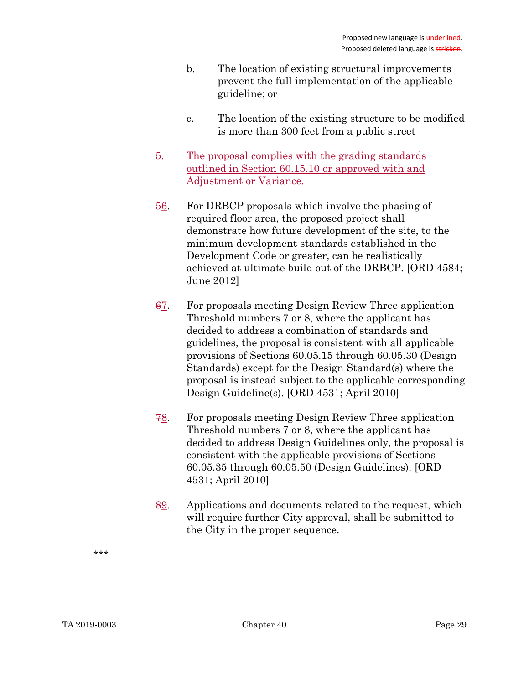- b. The location of existing structural improvements prevent the full implementation of the applicable guideline; or
- c. The location of the existing structure to be modified is more than 300 feet from a public street
- 5. The proposal complies with the grading standards outlined in Section 60.15.10 or approved with and Adjustment or Variance.
- 56. For DRBCP proposals which involve the phasing of required floor area, the proposed project shall demonstrate how future development of the site, to the minimum development standards established in the Development Code or greater, can be realistically achieved at ultimate build out of the DRBCP. [ORD 4584; June 2012]
- 67. For proposals meeting Design Review Three application Threshold numbers 7 or 8, where the applicant has decided to address a combination of standards and guidelines, the proposal is consistent with all applicable provisions of Sections 60.05.15 through 60.05.30 (Design Standards) except for the Design Standard(s) where the proposal is instead subject to the applicable corresponding Design Guideline(s). [ORD 4531; April 2010]
- 78. For proposals meeting Design Review Three application Threshold numbers 7 or 8, where the applicant has decided to address Design Guidelines only, the proposal is consistent with the applicable provisions of Sections 60.05.35 through 60.05.50 (Design Guidelines). [ORD 4531; April 2010]
- 89. Applications and documents related to the request, which will require further City approval, shall be submitted to the City in the proper sequence.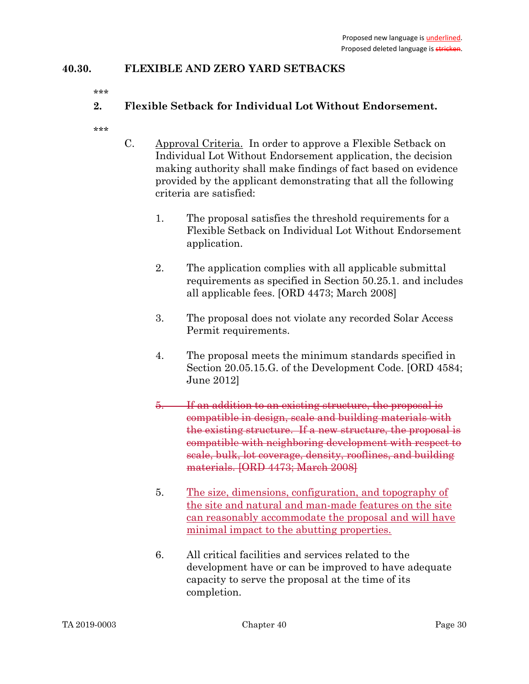# 40.30. FLEXIBLE AND ZERO YARD SETBACKS

\*\*\*

# 2. Flexible Setback for Individual Lot Without Endorsement.

- \*\*\*
- C. Approval Criteria. In order to approve a Flexible Setback on Individual Lot Without Endorsement application, the decision making authority shall make findings of fact based on evidence provided by the applicant demonstrating that all the following criteria are satisfied:
	- 1. The proposal satisfies the threshold requirements for a Flexible Setback on Individual Lot Without Endorsement application.
	- 2. The application complies with all applicable submittal requirements as specified in Section 50.25.1. and includes all applicable fees. [ORD 4473; March 2008]
	- 3. The proposal does not violate any recorded Solar Access Permit requirements.
	- 4. The proposal meets the minimum standards specified in Section 20.05.15.G. of the Development Code. [ORD 4584; June 2012]
	- 5. If an addition to an existing structure, the proposal is compatible in design, scale and building materials with the existing structure. If a new structure, the proposal is compatible with neighboring development with respect to scale, bulk, lot coverage, density, rooflines, and building materials. [ORD 4473; March 2008]
	- 5. The size, dimensions, configuration, and topography of the site and natural and man-made features on the site can reasonably accommodate the proposal and will have minimal impact to the abutting properties.
	- 6. All critical facilities and services related to the development have or can be improved to have adequate capacity to serve the proposal at the time of its completion.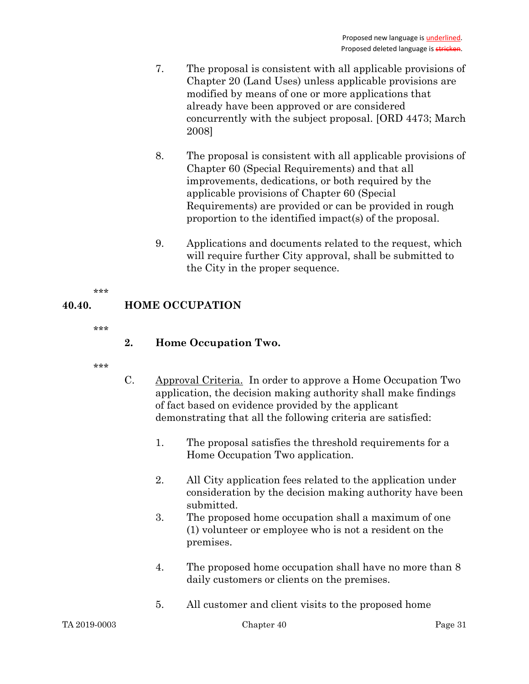- 7. The proposal is consistent with all applicable provisions of Chapter 20 (Land Uses) unless applicable provisions are modified by means of one or more applications that already have been approved or are considered concurrently with the subject proposal. [ORD 4473; March 2008]
- 8. The proposal is consistent with all applicable provisions of Chapter 60 (Special Requirements) and that all improvements, dedications, or both required by the applicable provisions of Chapter 60 (Special Requirements) are provided or can be provided in rough proportion to the identified impact(s) of the proposal.
- 9. Applications and documents related to the request, which will require further City approval, shall be submitted to the City in the proper sequence.

#### 40.40. HOME OCCUPATION

\*\*\*

### 2. Home Occupation Two.

- \*\*\*
- C. Approval Criteria. In order to approve a Home Occupation Two application, the decision making authority shall make findings of fact based on evidence provided by the applicant demonstrating that all the following criteria are satisfied:
	- 1. The proposal satisfies the threshold requirements for a Home Occupation Two application.
	- 2. All City application fees related to the application under consideration by the decision making authority have been submitted.
	- 3. The proposed home occupation shall a maximum of one (1) volunteer or employee who is not a resident on the premises.
	- 4. The proposed home occupation shall have no more than 8 daily customers or clients on the premises.
	- 5. All customer and client visits to the proposed home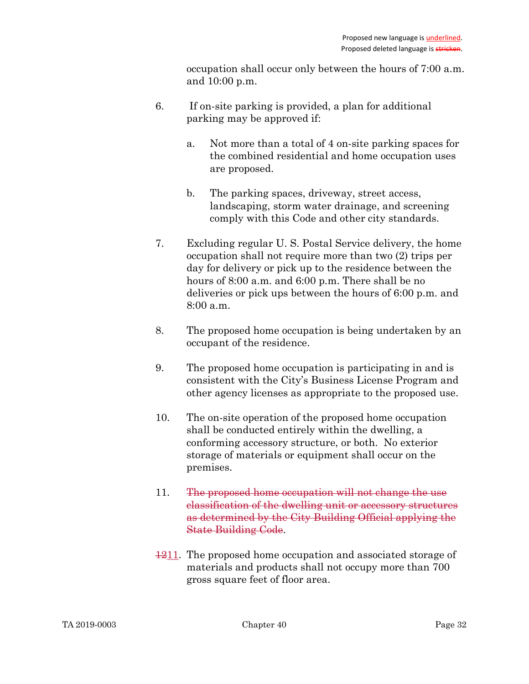occupation shall occur only between the hours of 7:00 a.m. and 10:00 p.m.

- 6. If on-site parking is provided, a plan for additional parking may be approved if:
	- a. Not more than a total of 4 on-site parking spaces for the combined residential and home occupation uses are proposed.
	- b. The parking spaces, driveway, street access, landscaping, storm water drainage, and screening comply with this Code and other city standards.
- 7. Excluding regular U. S. Postal Service delivery, the home occupation shall not require more than two (2) trips per day for delivery or pick up to the residence between the hours of 8:00 a.m. and 6:00 p.m. There shall be no deliveries or pick ups between the hours of 6:00 p.m. and 8:00 a.m.
- 8. The proposed home occupation is being undertaken by an occupant of the residence.
- 9. The proposed home occupation is participating in and is consistent with the City's Business License Program and other agency licenses as appropriate to the proposed use.
- 10. The on-site operation of the proposed home occupation shall be conducted entirely within the dwelling, a conforming accessory structure, or both. No exterior storage of materials or equipment shall occur on the premises.
- 11. The proposed home occupation will not change the use classification of the dwelling unit or accessory structures as determined by the City Building Official applying the State Building Code.
- 1211. The proposed home occupation and associated storage of materials and products shall not occupy more than 700 gross square feet of floor area.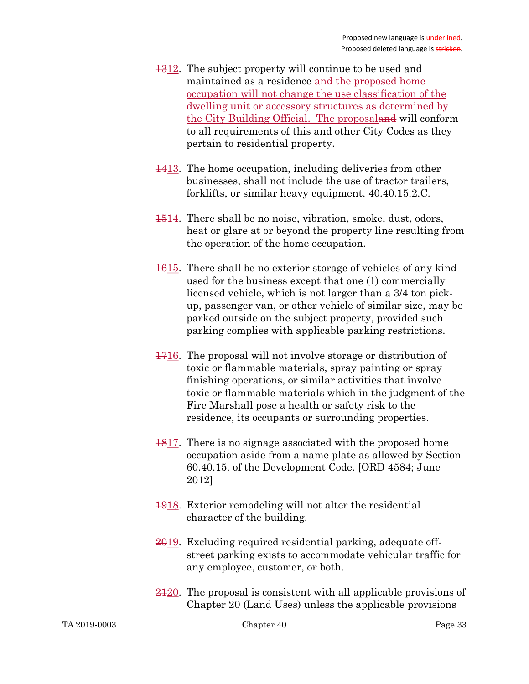- 1312. The subject property will continue to be used and maintained as a residence and the proposed home occupation will not change the use classification of the dwelling unit or accessory structures as determined by the City Building Official. The proposaland will conform to all requirements of this and other City Codes as they pertain to residential property.
- 1413. The home occupation, including deliveries from other businesses, shall not include the use of tractor trailers, forklifts, or similar heavy equipment. 40.40.15.2.C.
- 1514. There shall be no noise, vibration, smoke, dust, odors, heat or glare at or beyond the property line resulting from the operation of the home occupation.
- 1615. There shall be no exterior storage of vehicles of any kind used for the business except that one (1) commercially licensed vehicle, which is not larger than a 3/4 ton pickup, passenger van, or other vehicle of similar size, may be parked outside on the subject property, provided such parking complies with applicable parking restrictions.
- 1716. The proposal will not involve storage or distribution of toxic or flammable materials, spray painting or spray finishing operations, or similar activities that involve toxic or flammable materials which in the judgment of the Fire Marshall pose a health or safety risk to the residence, its occupants or surrounding properties.
- 1817. There is no signage associated with the proposed home occupation aside from a name plate as allowed by Section 60.40.15. of the Development Code. [ORD 4584; June 2012]
- 1918. Exterior remodeling will not alter the residential character of the building.
- 2019. Excluding required residential parking, adequate offstreet parking exists to accommodate vehicular traffic for any employee, customer, or both.
- 2420. The proposal is consistent with all applicable provisions of Chapter 20 (Land Uses) unless the applicable provisions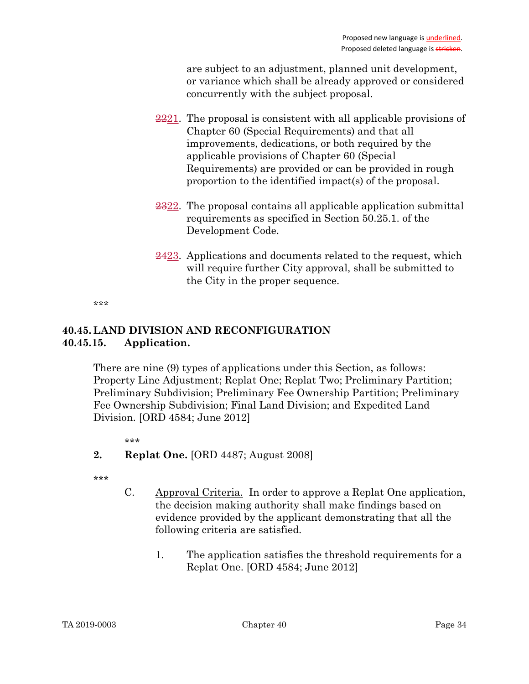are subject to an adjustment, planned unit development, or variance which shall be already approved or considered concurrently with the subject proposal.

- 2221. The proposal is consistent with all applicable provisions of Chapter 60 (Special Requirements) and that all improvements, dedications, or both required by the applicable provisions of Chapter 60 (Special Requirements) are provided or can be provided in rough proportion to the identified impact(s) of the proposal.
- 2322. The proposal contains all applicable application submittal requirements as specified in Section 50.25.1. of the Development Code.
- 2423. Applications and documents related to the request, which will require further City approval, shall be submitted to the City in the proper sequence.

\*\*\*

# 40.45. LAND DIVISION AND RECONFIGURATION 40.45.15. Application.

There are nine (9) types of applications under this Section, as follows: Property Line Adjustment; Replat One; Replat Two; Preliminary Partition; Preliminary Subdivision; Preliminary Fee Ownership Partition; Preliminary Fee Ownership Subdivision; Final Land Division; and Expedited Land Division. [ORD 4584; June 2012]

\*\*\*

2. Replat One. [ORD 4487; August 2008]

- C. Approval Criteria. In order to approve a Replat One application, the decision making authority shall make findings based on evidence provided by the applicant demonstrating that all the following criteria are satisfied.
	- 1. The application satisfies the threshold requirements for a Replat One. [ORD 4584; June 2012]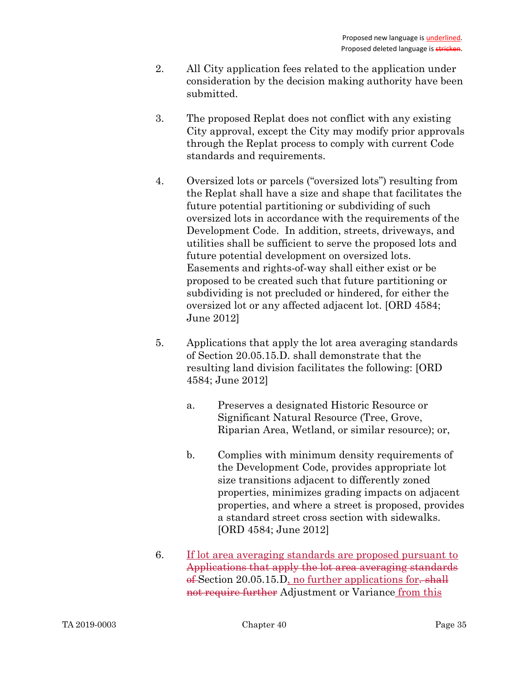- 2. All City application fees related to the application under consideration by the decision making authority have been submitted.
- 3. The proposed Replat does not conflict with any existing City approval, except the City may modify prior approvals through the Replat process to comply with current Code standards and requirements.
- 4. Oversized lots or parcels ("oversized lots") resulting from the Replat shall have a size and shape that facilitates the future potential partitioning or subdividing of such oversized lots in accordance with the requirements of the Development Code. In addition, streets, driveways, and utilities shall be sufficient to serve the proposed lots and future potential development on oversized lots. Easements and rights-of-way shall either exist or be proposed to be created such that future partitioning or subdividing is not precluded or hindered, for either the oversized lot or any affected adjacent lot. [ORD 4584; June 2012]
- 5. Applications that apply the lot area averaging standards of Section 20.05.15.D. shall demonstrate that the resulting land division facilitates the following: [ORD 4584; June 2012]
	- a. Preserves a designated Historic Resource or Significant Natural Resource (Tree, Grove, Riparian Area, Wetland, or similar resource); or,
	- b. Complies with minimum density requirements of the Development Code, provides appropriate lot size transitions adjacent to differently zoned properties, minimizes grading impacts on adjacent properties, and where a street is proposed, provides a standard street cross section with sidewalks. [ORD 4584; June 2012]
- 6. If lot area averaging standards are proposed pursuant to Applications that apply the lot area averaging standards of Section 20.05.15.D, no further applications for shall not require further Adjustment or Variance from this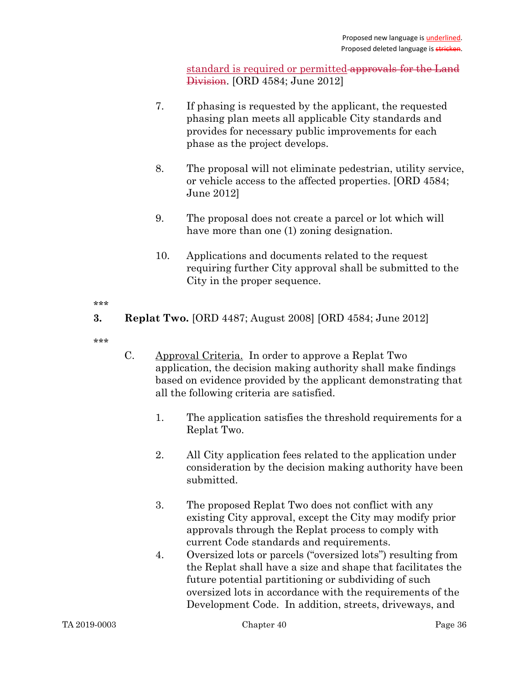standard is required or permitted approvals for the Land Division. [ORD 4584; June 2012]

- 7. If phasing is requested by the applicant, the requested phasing plan meets all applicable City standards and provides for necessary public improvements for each phase as the project develops.
- 8. The proposal will not eliminate pedestrian, utility service, or vehicle access to the affected properties. [ORD 4584; June 2012]
- 9. The proposal does not create a parcel or lot which will have more than one (1) zoning designation.
- 10. Applications and documents related to the request requiring further City approval shall be submitted to the City in the proper sequence.

- 3. Replat Two. [ORD 4487; August 2008] [ORD 4584; June 2012]
- \*\*\*
- C. Approval Criteria. In order to approve a Replat Two application, the decision making authority shall make findings based on evidence provided by the applicant demonstrating that all the following criteria are satisfied.
	- 1. The application satisfies the threshold requirements for a Replat Two.
	- 2. All City application fees related to the application under consideration by the decision making authority have been submitted.
	- 3. The proposed Replat Two does not conflict with any existing City approval, except the City may modify prior approvals through the Replat process to comply with current Code standards and requirements.
	- 4. Oversized lots or parcels ("oversized lots") resulting from the Replat shall have a size and shape that facilitates the future potential partitioning or subdividing of such oversized lots in accordance with the requirements of the Development Code. In addition, streets, driveways, and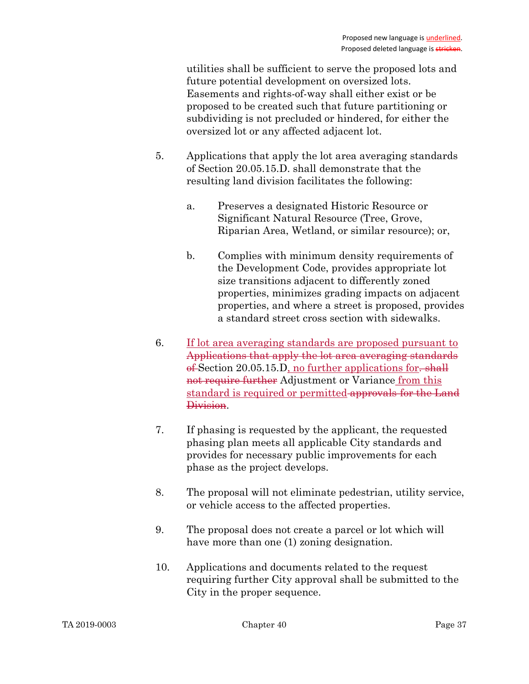utilities shall be sufficient to serve the proposed lots and future potential development on oversized lots. Easements and rights-of-way shall either exist or be proposed to be created such that future partitioning or subdividing is not precluded or hindered, for either the oversized lot or any affected adjacent lot.

- 5. Applications that apply the lot area averaging standards of Section 20.05.15.D. shall demonstrate that the resulting land division facilitates the following:
	- a. Preserves a designated Historic Resource or Significant Natural Resource (Tree, Grove, Riparian Area, Wetland, or similar resource); or,
	- b. Complies with minimum density requirements of the Development Code, provides appropriate lot size transitions adjacent to differently zoned properties, minimizes grading impacts on adjacent properties, and where a street is proposed, provides a standard street cross section with sidewalks.
- 6. If lot area averaging standards are proposed pursuant to Applications that apply the lot area averaging standards of Section 20.05.15.D, no further applications for. shall not require further Adjustment or Variance from this standard is required or permitted approvals for the Land Division.
- 7. If phasing is requested by the applicant, the requested phasing plan meets all applicable City standards and provides for necessary public improvements for each phase as the project develops.
- 8. The proposal will not eliminate pedestrian, utility service, or vehicle access to the affected properties.
- 9. The proposal does not create a parcel or lot which will have more than one (1) zoning designation.
- 10. Applications and documents related to the request requiring further City approval shall be submitted to the City in the proper sequence.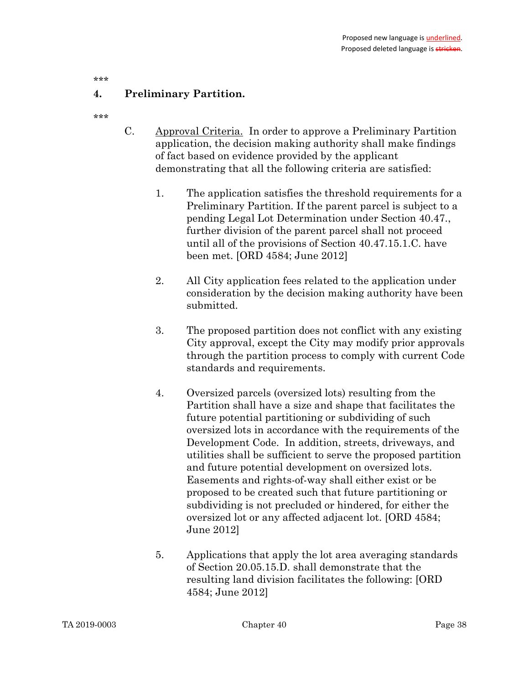### 4. Preliminary Partition.

- C. Approval Criteria. In order to approve a Preliminary Partition application, the decision making authority shall make findings of fact based on evidence provided by the applicant demonstrating that all the following criteria are satisfied:
	- 1. The application satisfies the threshold requirements for a Preliminary Partition. If the parent parcel is subject to a pending Legal Lot Determination under Section 40.47., further division of the parent parcel shall not proceed until all of the provisions of Section 40.47.15.1.C. have been met. [ORD 4584; June 2012]
	- 2. All City application fees related to the application under consideration by the decision making authority have been submitted.
	- 3. The proposed partition does not conflict with any existing City approval, except the City may modify prior approvals through the partition process to comply with current Code standards and requirements.
	- 4. Oversized parcels (oversized lots) resulting from the Partition shall have a size and shape that facilitates the future potential partitioning or subdividing of such oversized lots in accordance with the requirements of the Development Code. In addition, streets, driveways, and utilities shall be sufficient to serve the proposed partition and future potential development on oversized lots. Easements and rights-of-way shall either exist or be proposed to be created such that future partitioning or subdividing is not precluded or hindered, for either the oversized lot or any affected adjacent lot. [ORD 4584; June 2012]
	- 5. Applications that apply the lot area averaging standards of Section 20.05.15.D. shall demonstrate that the resulting land division facilitates the following: [ORD 4584; June 2012]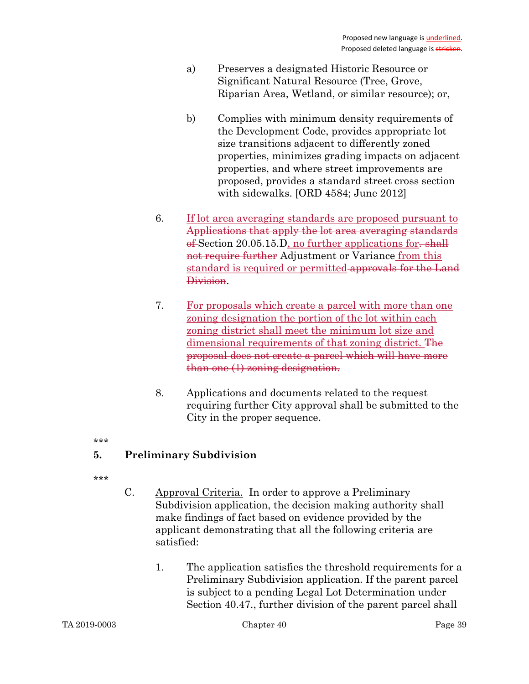- a) Preserves a designated Historic Resource or Significant Natural Resource (Tree, Grove, Riparian Area, Wetland, or similar resource); or,
- b) Complies with minimum density requirements of the Development Code, provides appropriate lot size transitions adjacent to differently zoned properties, minimizes grading impacts on adjacent properties, and where street improvements are proposed, provides a standard street cross section with sidewalks. [ORD 4584; June 2012]
- 6. If lot area averaging standards are proposed pursuant to Applications that apply the lot area averaging standards of Section 20.05.15.D, no further applications for. shall not require further Adjustment or Variance from this standard is required or permitted approvals for the Land Division.
- 7. For proposals which create a parcel with more than one zoning designation the portion of the lot within each zoning district shall meet the minimum lot size and dimensional requirements of that zoning district. The proposal does not create a parcel which will have more than one (1) zoning designation.
- 8. Applications and documents related to the request requiring further City approval shall be submitted to the City in the proper sequence.

### 5. Preliminary Subdivision

- C. Approval Criteria. In order to approve a Preliminary Subdivision application, the decision making authority shall make findings of fact based on evidence provided by the applicant demonstrating that all the following criteria are satisfied:
	- 1. The application satisfies the threshold requirements for a Preliminary Subdivision application. If the parent parcel is subject to a pending Legal Lot Determination under Section 40.47., further division of the parent parcel shall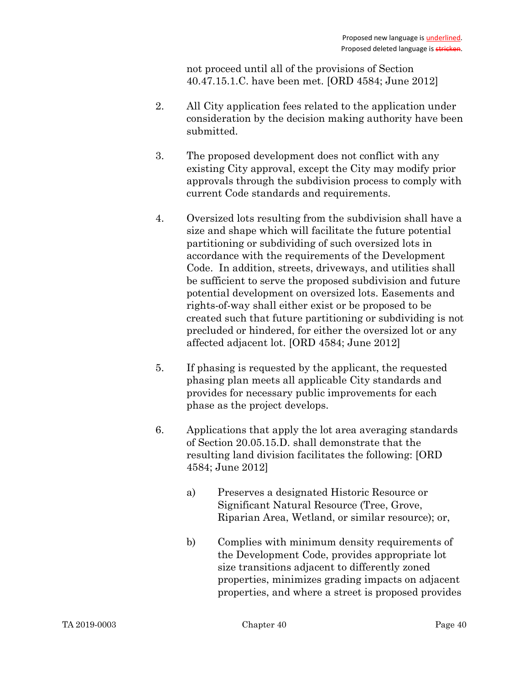not proceed until all of the provisions of Section 40.47.15.1.C. have been met. [ORD 4584; June 2012]

- 2. All City application fees related to the application under consideration by the decision making authority have been submitted.
- 3. The proposed development does not conflict with any existing City approval, except the City may modify prior approvals through the subdivision process to comply with current Code standards and requirements.
- 4. Oversized lots resulting from the subdivision shall have a size and shape which will facilitate the future potential partitioning or subdividing of such oversized lots in accordance with the requirements of the Development Code. In addition, streets, driveways, and utilities shall be sufficient to serve the proposed subdivision and future potential development on oversized lots. Easements and rights-of-way shall either exist or be proposed to be created such that future partitioning or subdividing is not precluded or hindered, for either the oversized lot or any affected adjacent lot. [ORD 4584; June 2012]
- 5. If phasing is requested by the applicant, the requested phasing plan meets all applicable City standards and provides for necessary public improvements for each phase as the project develops.
- 6. Applications that apply the lot area averaging standards of Section 20.05.15.D. shall demonstrate that the resulting land division facilitates the following: [ORD 4584; June 2012]
	- a) Preserves a designated Historic Resource or Significant Natural Resource (Tree, Grove, Riparian Area, Wetland, or similar resource); or,
	- b) Complies with minimum density requirements of the Development Code, provides appropriate lot size transitions adjacent to differently zoned properties, minimizes grading impacts on adjacent properties, and where a street is proposed provides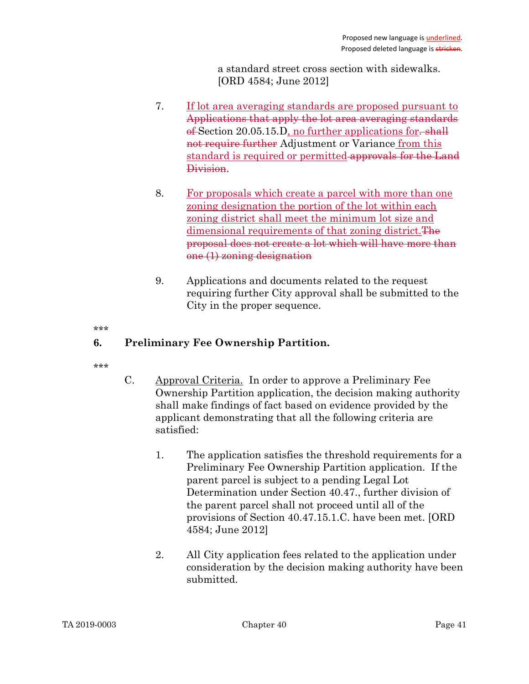a standard street cross section with sidewalks. [ORD 4584; June 2012]

- 7. If lot area averaging standards are proposed pursuant to Applications that apply the lot area averaging standards of Section 20.05.15.D, no further applications for. shall not require further Adjustment or Variance from this standard is required or permitted approvals for the Land Division.
- 8. For proposals which create a parcel with more than one zoning designation the portion of the lot within each zoning district shall meet the minimum lot size and dimensional requirements of that zoning district.The proposal does not create a lot which will have more than one (1) zoning designation
- 9. Applications and documents related to the request requiring further City approval shall be submitted to the City in the proper sequence.

\*\*\*

# 6. Preliminary Fee Ownership Partition.

- C. Approval Criteria. In order to approve a Preliminary Fee Ownership Partition application, the decision making authority shall make findings of fact based on evidence provided by the applicant demonstrating that all the following criteria are satisfied:
	- 1. The application satisfies the threshold requirements for a Preliminary Fee Ownership Partition application. If the parent parcel is subject to a pending Legal Lot Determination under Section 40.47., further division of the parent parcel shall not proceed until all of the provisions of Section 40.47.15.1.C. have been met. [ORD 4584; June 2012]
	- 2. All City application fees related to the application under consideration by the decision making authority have been submitted.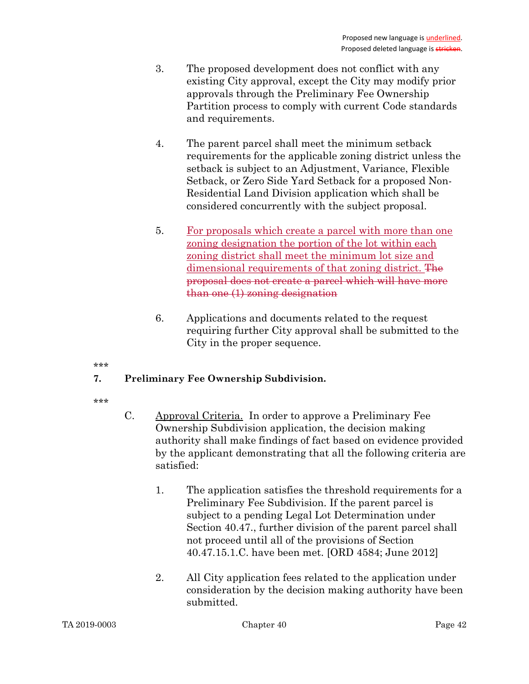- 3. The proposed development does not conflict with any existing City approval, except the City may modify prior approvals through the Preliminary Fee Ownership Partition process to comply with current Code standards and requirements.
- 4. The parent parcel shall meet the minimum setback requirements for the applicable zoning district unless the setback is subject to an Adjustment, Variance, Flexible Setback, or Zero Side Yard Setback for a proposed Non-Residential Land Division application which shall be considered concurrently with the subject proposal.
- 5. For proposals which create a parcel with more than one zoning designation the portion of the lot within each zoning district shall meet the minimum lot size and dimensional requirements of that zoning district. The proposal does not create a parcel which will have more than one (1) zoning designation
- 6. Applications and documents related to the request requiring further City approval shall be submitted to the City in the proper sequence.

### 7. Preliminary Fee Ownership Subdivision.

- C. Approval Criteria. In order to approve a Preliminary Fee Ownership Subdivision application, the decision making authority shall make findings of fact based on evidence provided by the applicant demonstrating that all the following criteria are satisfied:
	- 1. The application satisfies the threshold requirements for a Preliminary Fee Subdivision. If the parent parcel is subject to a pending Legal Lot Determination under Section 40.47., further division of the parent parcel shall not proceed until all of the provisions of Section 40.47.15.1.C. have been met. [ORD 4584; June 2012]
	- 2. All City application fees related to the application under consideration by the decision making authority have been submitted.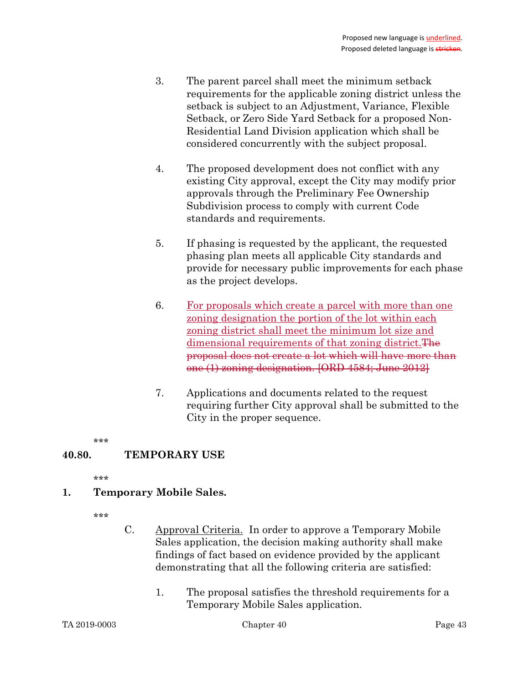- 3. The parent parcel shall meet the minimum setback requirements for the applicable zoning district unless the setback is subject to an Adjustment, Variance, Flexible Setback, or Zero Side Yard Setback for a proposed Non-Residential Land Division application which shall be considered concurrently with the subject proposal.
- 4. The proposed development does not conflict with any existing City approval, except the City may modify prior approvals through the Preliminary Fee Ownership Subdivision process to comply with current Code standards and requirements.
- 5. If phasing is requested by the applicant, the requested phasing plan meets all applicable City standards and provide for necessary public improvements for each phase as the project develops.
- 6. For proposals which create a parcel with more than one zoning designation the portion of the lot within each zoning district shall meet the minimum lot size and dimensional requirements of that zoning district.The proposal does not create a lot which will have more than one (1) zoning designation. [ORD 4584; June 2012]
- 7. Applications and documents related to the request requiring further City approval shall be submitted to the City in the proper sequence.

### 40.80. TEMPORARY USE

\*\*\*

### 1. Temporary Mobile Sales.

- C. Approval Criteria. In order to approve a Temporary Mobile Sales application, the decision making authority shall make findings of fact based on evidence provided by the applicant demonstrating that all the following criteria are satisfied:
	- 1. The proposal satisfies the threshold requirements for a Temporary Mobile Sales application.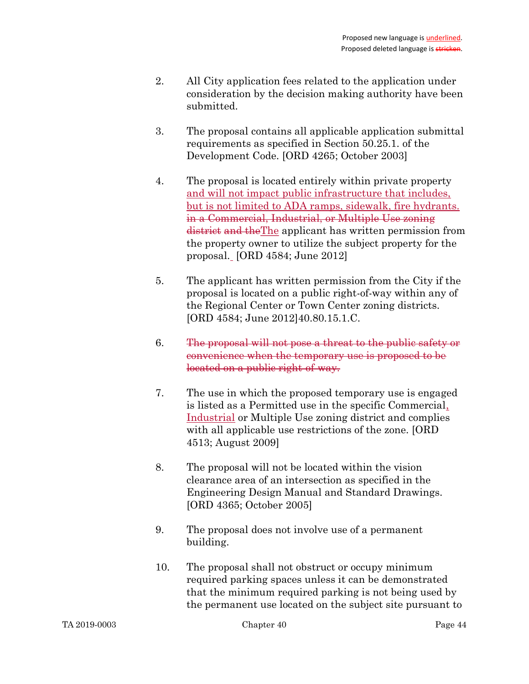- 2. All City application fees related to the application under consideration by the decision making authority have been submitted.
- 3. The proposal contains all applicable application submittal requirements as specified in Section 50.25.1. of the Development Code. [ORD 4265; October 2003]
- 4. The proposal is located entirely within private property and will not impact public infrastructure that includes, but is not limited to ADA ramps, sidewalk, fire hydrants. in a Commercial, Industrial, or Multiple Use zoning district and theThe applicant has written permission from the property owner to utilize the subject property for the proposal. [ORD 4584; June 2012]
- 5. The applicant has written permission from the City if the proposal is located on a public right-of-way within any of the Regional Center or Town Center zoning districts. [ORD 4584; June 2012]40.80.15.1.C.
- 6. The proposal will not pose a threat to the public safety or convenience when the temporary use is proposed to be located on a public right-of-way.
- 7. The use in which the proposed temporary use is engaged is listed as a Permitted use in the specific Commercial, Industrial or Multiple Use zoning district and complies with all applicable use restrictions of the zone. [ORD 4513; August 2009]
- 8. The proposal will not be located within the vision clearance area of an intersection as specified in the Engineering Design Manual and Standard Drawings. [ORD 4365; October 2005]
- 9. The proposal does not involve use of a permanent building.
- 10. The proposal shall not obstruct or occupy minimum required parking spaces unless it can be demonstrated that the minimum required parking is not being used by the permanent use located on the subject site pursuant to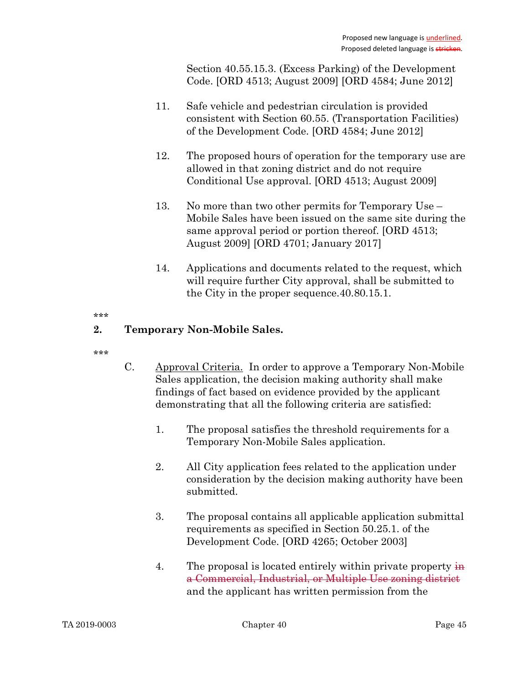Section 40.55.15.3. (Excess Parking) of the Development Code. [ORD 4513; August 2009] [ORD 4584; June 2012]

- 11. Safe vehicle and pedestrian circulation is provided consistent with Section 60.55. (Transportation Facilities) of the Development Code. [ORD 4584; June 2012]
- 12. The proposed hours of operation for the temporary use are allowed in that zoning district and do not require Conditional Use approval. [ORD 4513; August 2009]
- 13. No more than two other permits for Temporary Use Mobile Sales have been issued on the same site during the same approval period or portion thereof. [ORD 4513; August 2009] [ORD 4701; January 2017]
- 14. Applications and documents related to the request, which will require further City approval, shall be submitted to the City in the proper sequence.40.80.15.1.

### \*\*\*

### 2. Temporary Non-Mobile Sales.

- \*\*\*
- C. Approval Criteria. In order to approve a Temporary Non-Mobile Sales application, the decision making authority shall make findings of fact based on evidence provided by the applicant demonstrating that all the following criteria are satisfied:
	- 1. The proposal satisfies the threshold requirements for a Temporary Non-Mobile Sales application.
	- 2. All City application fees related to the application under consideration by the decision making authority have been submitted.
	- 3. The proposal contains all applicable application submittal requirements as specified in Section 50.25.1. of the Development Code. [ORD 4265; October 2003]
	- 4. The proposal is located entirely within private property  $\frac{1}{n}$ a Commercial, Industrial, or Multiple Use zoning district and the applicant has written permission from the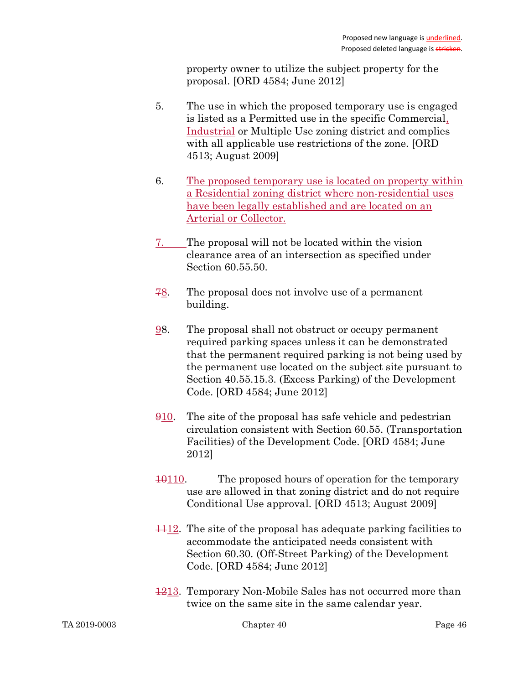property owner to utilize the subject property for the proposal. [ORD 4584; June 2012]

- 5. The use in which the proposed temporary use is engaged is listed as a Permitted use in the specific Commercial, Industrial or Multiple Use zoning district and complies with all applicable use restrictions of the zone. [ORD 4513; August 2009]
- 6. The proposed temporary use is located on property within a Residential zoning district where non-residential uses have been legally established and are located on an Arterial or Collector.
- 7. The proposal will not be located within the vision clearance area of an intersection as specified under Section 60.55.50.
- 78. The proposal does not involve use of a permanent building.
- 98. The proposal shall not obstruct or occupy permanent required parking spaces unless it can be demonstrated that the permanent required parking is not being used by the permanent use located on the subject site pursuant to Section 40.55.15.3. (Excess Parking) of the Development Code. [ORD 4584; June 2012]
- 910. The site of the proposal has safe vehicle and pedestrian circulation consistent with Section 60.55. (Transportation Facilities) of the Development Code. [ORD 4584; June 2012]
- $\frac{10110}{100}$ . The proposed hours of operation for the temporary use are allowed in that zoning district and do not require Conditional Use approval. [ORD 4513; August 2009]
- 1112. The site of the proposal has adequate parking facilities to accommodate the anticipated needs consistent with Section 60.30. (Off-Street Parking) of the Development Code. [ORD 4584; June 2012]
- 1213. Temporary Non-Mobile Sales has not occurred more than twice on the same site in the same calendar year.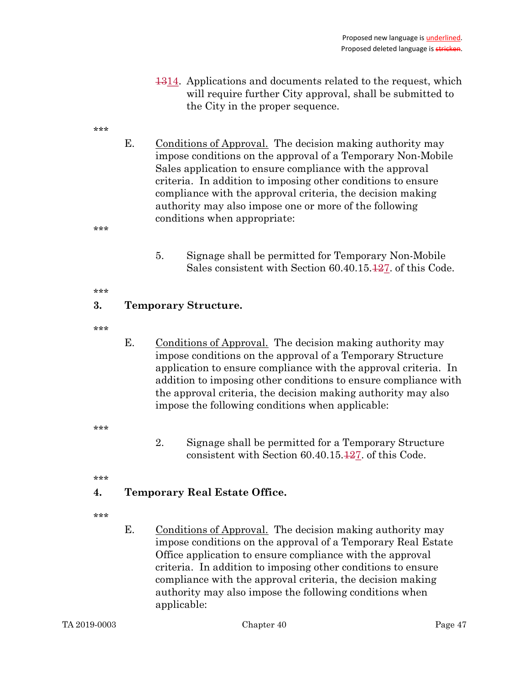1314. Applications and documents related to the request, which will require further City approval, shall be submitted to the City in the proper sequence.

\*\*\*

- E. Conditions of Approval. The decision making authority may impose conditions on the approval of a Temporary Non-Mobile Sales application to ensure compliance with the approval criteria. In addition to imposing other conditions to ensure compliance with the approval criteria, the decision making authority may also impose one or more of the following conditions when appropriate:
	- 5. Signage shall be permitted for Temporary Non-Mobile Sales consistent with Section 60.40.15.127. of this Code.

### \*\*\*

\*\*\*

### 3. Temporary Structure.

- \*\*\*
- E. Conditions of Approval. The decision making authority may impose conditions on the approval of a Temporary Structure application to ensure compliance with the approval criteria. In addition to imposing other conditions to ensure compliance with the approval criteria, the decision making authority may also impose the following conditions when applicable:

.<br>ماه ماه ماه

2. Signage shall be permitted for a Temporary Structure consistent with Section 60.40.15.127. of this Code.

\*\*\*

# 4. Temporary Real Estate Office.

\*\*\*

E. Conditions of Approval. The decision making authority may impose conditions on the approval of a Temporary Real Estate Office application to ensure compliance with the approval criteria. In addition to imposing other conditions to ensure compliance with the approval criteria, the decision making authority may also impose the following conditions when applicable: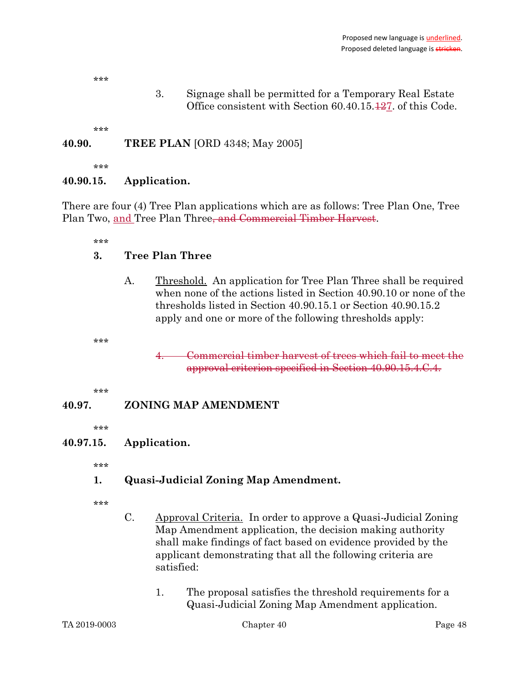3. Signage shall be permitted for a Temporary Real Estate Office consistent with Section 60.40.15.127. of this Code.

\*\*\*

# 40.90. TREE PLAN [ORD 4348; May 2005]

\*\*\*

# 40.90.15. Application.

There are four (4) Tree Plan applications which are as follows: Tree Plan One, Tree Plan Two, and Tree Plan Three, and Commercial Timber Harvest.

\*\*\*

### 3. Tree Plan Three

A. Threshold. An application for Tree Plan Three shall be required when none of the actions listed in Section 40.90.10 or none of the thresholds listed in Section 40.90.15.1 or Section 40.90.15.2 apply and one or more of the following thresholds apply:

\*\*\*

4. Commercial timber harvest of trees which fail to meet the approval criterion specified in Section 40.90.15.4.C.4.

\*\*\*

# 40.97. ZONING MAP AMENDMENT

\*\*\*

### 40.97.15. Application.

\*\*\*

# 1. Quasi-Judicial Zoning Map Amendment.

- C. Approval Criteria. In order to approve a Quasi-Judicial Zoning Map Amendment application, the decision making authority shall make findings of fact based on evidence provided by the applicant demonstrating that all the following criteria are satisfied:
	- 1. The proposal satisfies the threshold requirements for a Quasi-Judicial Zoning Map Amendment application.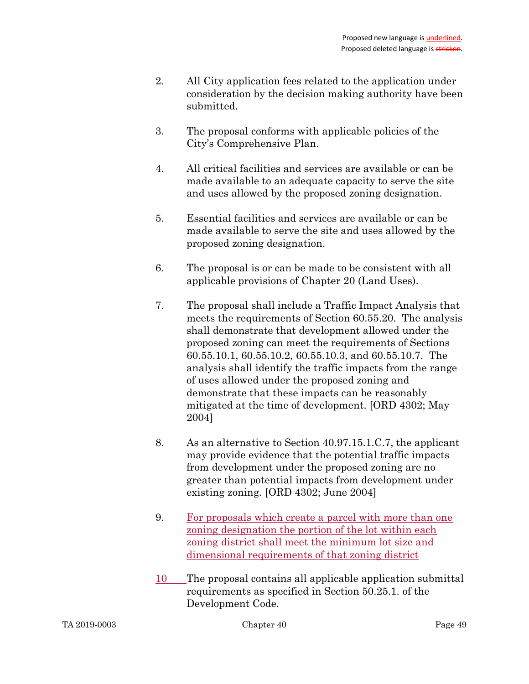- 2. All City application fees related to the application under consideration by the decision making authority have been submitted.
- 3. The proposal conforms with applicable policies of the City's Comprehensive Plan.
- 4. All critical facilities and services are available or can be made available to an adequate capacity to serve the site and uses allowed by the proposed zoning designation.
- 5. Essential facilities and services are available or can be made available to serve the site and uses allowed by the proposed zoning designation.
- 6. The proposal is or can be made to be consistent with all applicable provisions of Chapter 20 (Land Uses).
- 7. The proposal shall include a Traffic Impact Analysis that meets the requirements of Section 60.55.20. The analysis shall demonstrate that development allowed under the proposed zoning can meet the requirements of Sections 60.55.10.1, 60.55.10.2, 60.55.10.3, and 60.55.10.7. The analysis shall identify the traffic impacts from the range of uses allowed under the proposed zoning and demonstrate that these impacts can be reasonably mitigated at the time of development. [ORD 4302; May 2004]
- 8. As an alternative to Section 40.97.15.1.C.7, the applicant may provide evidence that the potential traffic impacts from development under the proposed zoning are no greater than potential impacts from development under existing zoning. [ORD 4302; June 2004]
- 9. For proposals which create a parcel with more than one zoning designation the portion of the lot within each zoning district shall meet the minimum lot size and dimensional requirements of that zoning district
- 10 The proposal contains all applicable application submittal requirements as specified in Section 50.25.1. of the Development Code.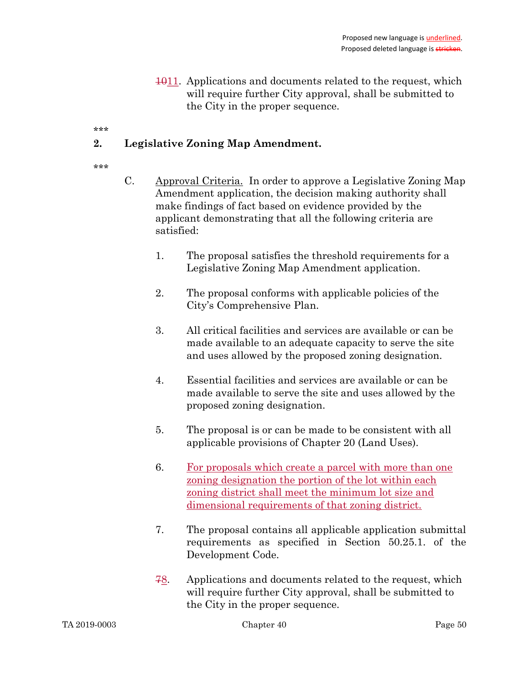$1011.$  Applications and documents related to the request, which will require further City approval, shall be submitted to the City in the proper sequence.

\*\*\*

### 2. Legislative Zoning Map Amendment.

- C. Approval Criteria. In order to approve a Legislative Zoning Map Amendment application, the decision making authority shall make findings of fact based on evidence provided by the applicant demonstrating that all the following criteria are satisfied:
	- 1. The proposal satisfies the threshold requirements for a Legislative Zoning Map Amendment application.
	- 2. The proposal conforms with applicable policies of the City's Comprehensive Plan.
	- 3. All critical facilities and services are available or can be made available to an adequate capacity to serve the site and uses allowed by the proposed zoning designation.
	- 4. Essential facilities and services are available or can be made available to serve the site and uses allowed by the proposed zoning designation.
	- 5. The proposal is or can be made to be consistent with all applicable provisions of Chapter 20 (Land Uses).
	- 6. For proposals which create a parcel with more than one zoning designation the portion of the lot within each zoning district shall meet the minimum lot size and dimensional requirements of that zoning district.
	- 7. The proposal contains all applicable application submittal requirements as specified in Section 50.25.1. of the Development Code.
	- 78. Applications and documents related to the request, which will require further City approval, shall be submitted to the City in the proper sequence.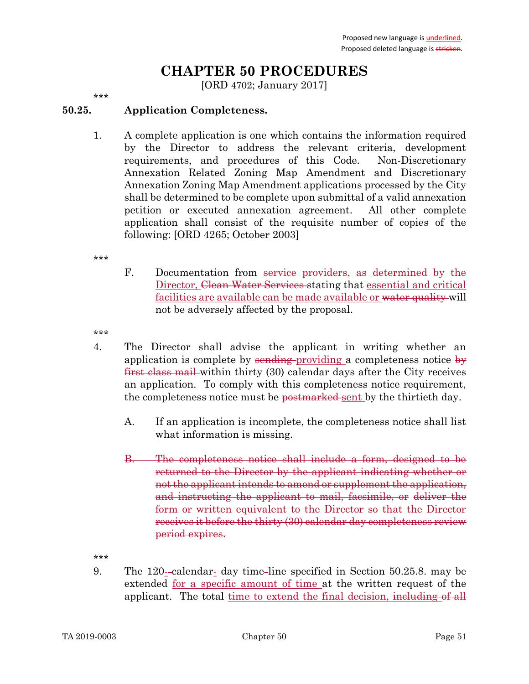# CHAPTER 50 PROCEDURES

[ORD 4702; January 2017]

\*\*\*

### 50.25. Application Completeness.

1. A complete application is one which contains the information required by the Director to address the relevant criteria, development requirements, and procedures of this Code. Non-Discretionary Annexation Related Zoning Map Amendment and Discretionary Annexation Zoning Map Amendment applications processed by the City shall be determined to be complete upon submittal of a valid annexation petition or executed annexation agreement. All other complete application shall consist of the requisite number of copies of the following: [ORD 4265; October 2003]

\*\*\*

F. Documentation from service providers, as determined by the Director, Clean Water Services stating that essential and critical facilities are available can be made available or water quality will not be adversely affected by the proposal.

\*\*\*

- 4. The Director shall advise the applicant in writing whether an application is complete by sending-providing a completeness notice by first class mail within thirty (30) calendar days after the City receives an application. To comply with this completeness notice requirement, the completeness notice must be postmarked sent by the thirtieth day.
	- A. If an application is incomplete, the completeness notice shall list what information is missing.
	- B. The completeness notice shall include a form, designed to be returned to the Director by the applicant indicating whether or not the applicant intends to amend or supplement the application, and instructing the applicant to mail, facsimile, or deliver the form or written equivalent to the Director so that the Director receives it before the thirty (30) calendar day completeness review period expires.

\*\*\*

9. The 120- calendar- day time line specified in Section 50.25.8. may be extended for a specific amount of time at the written request of the applicant. The total time to extend the final decision, including of all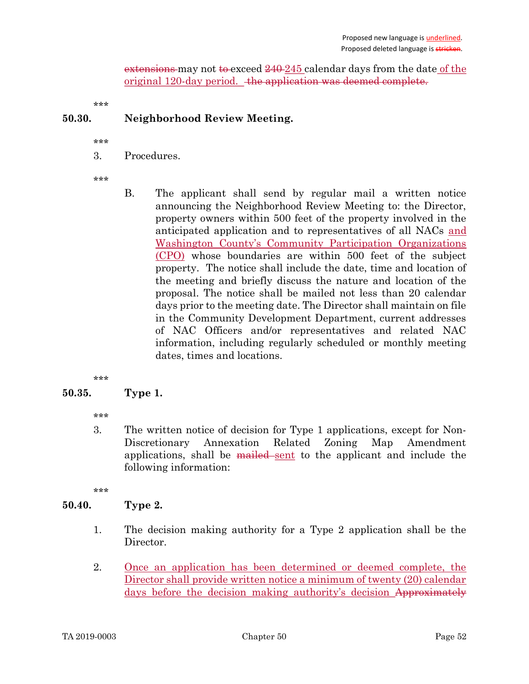extensions may not to exceed 240 245 calendar days from the date of the original 120-day period. the application was deemed complete.

\*\*\*

# 50.30. Neighborhood Review Meeting.

\*\*\*

3. Procedures.

\*\*\*

B. The applicant shall send by regular mail a written notice announcing the Neighborhood Review Meeting to: the Director, property owners within 500 feet of the property involved in the anticipated application and to representatives of all NACs and Washington County's Community Participation Organizations (CPO) whose boundaries are within 500 feet of the subject property. The notice shall include the date, time and location of the meeting and briefly discuss the nature and location of the proposal. The notice shall be mailed not less than 20 calendar days prior to the meeting date. The Director shall maintain on file in the Community Development Department, current addresses of NAC Officers and/or representatives and related NAC information, including regularly scheduled or monthly meeting dates, times and locations.

.<br>ماه ماه ماه

### 50.35. Type 1.

\*\*\*

3. The written notice of decision for Type 1 applications, except for Non-Discretionary Annexation Related Zoning Map Amendment applications, shall be mailed sent to the applicant and include the following information:

\*\*\*

# 50.40. Type 2.

- 1. The decision making authority for a Type 2 application shall be the Director.
- 2. Once an application has been determined or deemed complete, the Director shall provide written notice a minimum of twenty (20) calendar days before the decision making authority's decision Approximately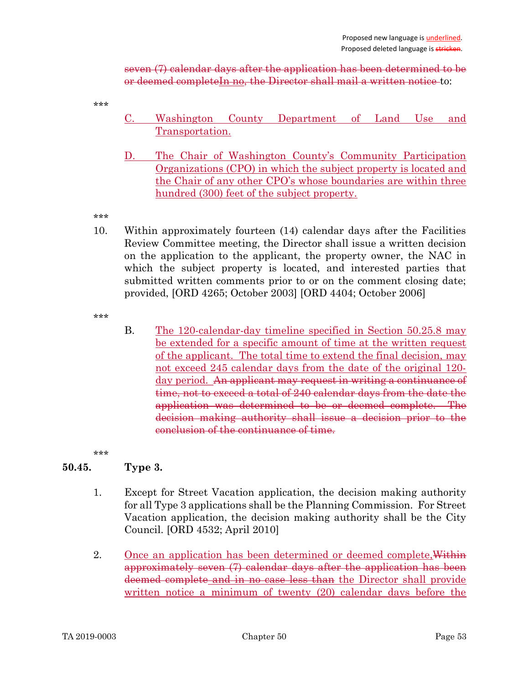seven (7) calendar days after the application has been determined to be or deemed completeIn no, the Director shall mail a written notice to:

\*\*\*

- C. Washington County Department of Land Use and Transportation.
- D. The Chair of Washington County's Community Participation Organizations (CPO) in which the subject property is located and the Chair of any other CPO's whose boundaries are within three hundred (300) feet of the subject property.

\*\*\*

10. Within approximately fourteen (14) calendar days after the Facilities Review Committee meeting, the Director shall issue a written decision on the application to the applicant, the property owner, the NAC in which the subject property is located, and interested parties that submitted written comments prior to or on the comment closing date; provided, [ORD 4265; October 2003] [ORD 4404; October 2006]

\*\*\*

B. The 120-calendar-day timeline specified in Section 50.25.8 may be extended for a specific amount of time at the written request of the applicant. The total time to extend the final decision, may not exceed 245 calendar days from the date of the original 120 day period. An applicant may request in writing a continuance of time, not to exceed a total of 240 calendar days from the date the application was determined to be or deemed complete. The decision making authority shall issue a decision prior to the conclusion of the continuance of time.

\*\*\*

### 50.45. Type 3.

- 1. Except for Street Vacation application, the decision making authority for all Type 3 applications shall be the Planning Commission. For Street Vacation application, the decision making authority shall be the City Council. [ORD 4532; April 2010]
- 2. Once an application has been determined or deemed complete, Within approximately seven (7) calendar days after the application has been deemed complete and in no case less than the Director shall provide written notice a minimum of twenty (20) calendar days before the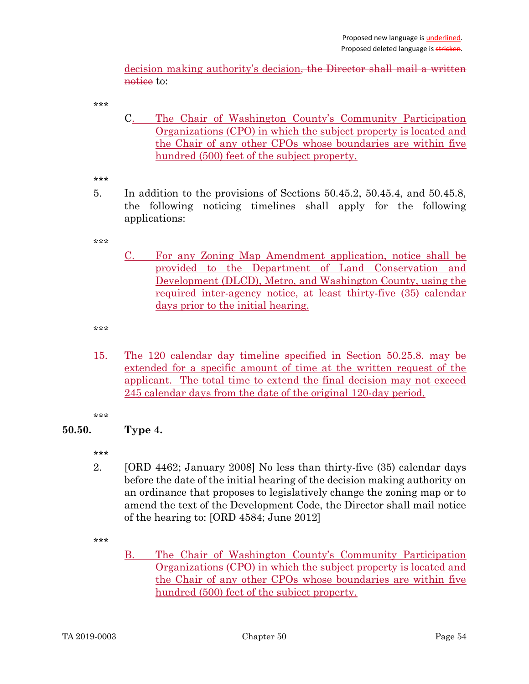decision making authority's decision, the Director shall mail a written notice to:

\*\*\*

C. The Chair of Washington County's Community Participation Organizations (CPO) in which the subject property is located and the Chair of any other CPOs whose boundaries are within five hundred (500) feet of the subject property.

\*\*\*

5. In addition to the provisions of Sections 50.45.2, 50.45.4, and 50.45.8, the following noticing timelines shall apply for the following applications:

\*\*\*

C. For any Zoning Map Amendment application, notice shall be provided to the Department of Land Conservation and Development (DLCD), Metro, and Washington County, using the required inter-agency notice, at least thirty-five (35) calendar days prior to the initial hearing.

\*\*\*

15. The 120 calendar day timeline specified in Section 50.25.8. may be extended for a specific amount of time at the written request of the applicant. The total time to extend the final decision may not exceed 245 calendar days from the date of the original 120-day period.

\*\*\*

# 50.50. Type 4.

\*\*\*

2. [ORD 4462; January 2008] No less than thirty-five (35) calendar days before the date of the initial hearing of the decision making authority on an ordinance that proposes to legislatively change the zoning map or to amend the text of the Development Code, the Director shall mail notice of the hearing to: [ORD 4584; June 2012]

\*\*\*

B. The Chair of Washington County's Community Participation Organizations (CPO) in which the subject property is located and the Chair of any other CPOs whose boundaries are within five hundred (500) feet of the subject property.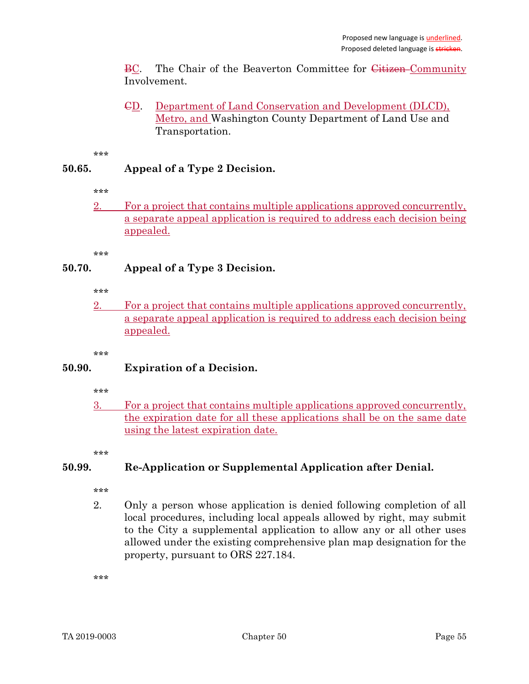BC. The Chair of the Beaverton Committee for Citizen Community Involvement.

CD. Department of Land Conservation and Development (DLCD), Metro, and Washington County Department of Land Use and Transportation.

\*\*\*

### 50.65. Appeal of a Type 2 Decision.

\*\*\*

2. For a project that contains multiple applications approved concurrently, a separate appeal application is required to address each decision being appealed.

\*\*\*

### 50.70. Appeal of a Type 3 Decision.

\*\*\*

2. For a project that contains multiple applications approved concurrently, a separate appeal application is required to address each decision being appealed.

\*\*\*

### 50.90. Expiration of a Decision.

\*\*\*

3. For a project that contains multiple applications approved concurrently, the expiration date for all these applications shall be on the same date using the latest expiration date.

\*\*\*

# 50.99. Re-Application or Supplemental Application after Denial.

\*\*\*

2. Only a person whose application is denied following completion of all local procedures, including local appeals allowed by right, may submit to the City a supplemental application to allow any or all other uses allowed under the existing comprehensive plan map designation for the property, pursuant to ORS 227.184.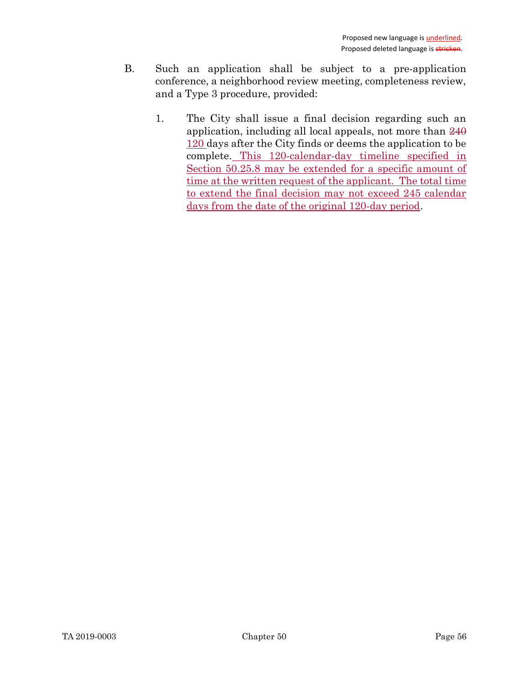- B. Such an application shall be subject to a pre-application conference, a neighborhood review meeting, completeness review, and a Type 3 procedure, provided:
	- 1. The City shall issue a final decision regarding such an application, including all local appeals, not more than 240 120 days after the City finds or deems the application to be complete. This 120-calendar-day timeline specified in Section 50.25.8 may be extended for a specific amount of time at the written request of the applicant. The total time to extend the final decision may not exceed 245 calendar days from the date of the original 120-day period.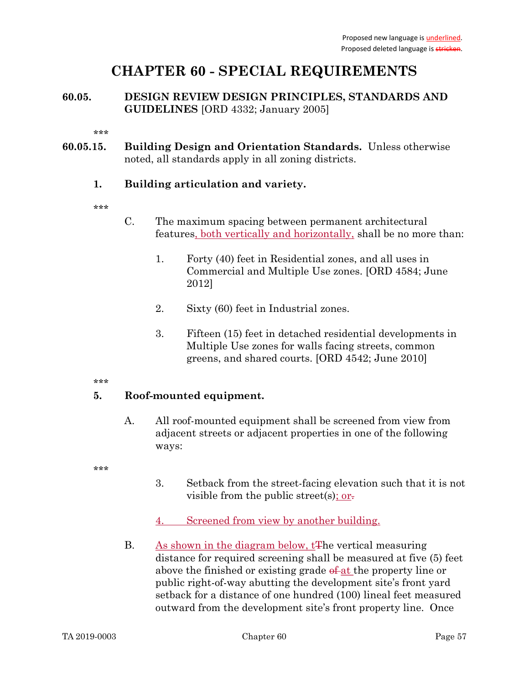# CHAPTER 60 - SPECIAL REQUIREMENTS

### 60.05. DESIGN REVIEW DESIGN PRINCIPLES, STANDARDS AND GUIDELINES [ORD 4332; January 2005]

\*\*\*

60.05.15. Building Design and Orientation Standards. Unless otherwise noted, all standards apply in all zoning districts.

# 1. Building articulation and variety.

\*\*\*

- C. The maximum spacing between permanent architectural features, both vertically and horizontally, shall be no more than:
	- 1. Forty (40) feet in Residential zones, and all uses in Commercial and Multiple Use zones. [ORD 4584; June 2012]
	- 2. Sixty (60) feet in Industrial zones.
	- 3. Fifteen (15) feet in detached residential developments in Multiple Use zones for walls facing streets, common greens, and shared courts. [ORD 4542; June 2010]

\*\*\*

# 5. Roof-mounted equipment.

A. All roof-mounted equipment shall be screened from view from adjacent streets or adjacent properties in one of the following ways:

\*\*\*

3. Setback from the street-facing elevation such that it is not visible from the public street(s); or.

4. Screened from view by another building.

B. As shown in the diagram below, t<sub>The vertical measuring</sub> distance for required screening shall be measured at five (5) feet above the finished or existing grade of at the property line or public right-of-way abutting the development site's front yard setback for a distance of one hundred (100) lineal feet measured outward from the development site's front property line. Once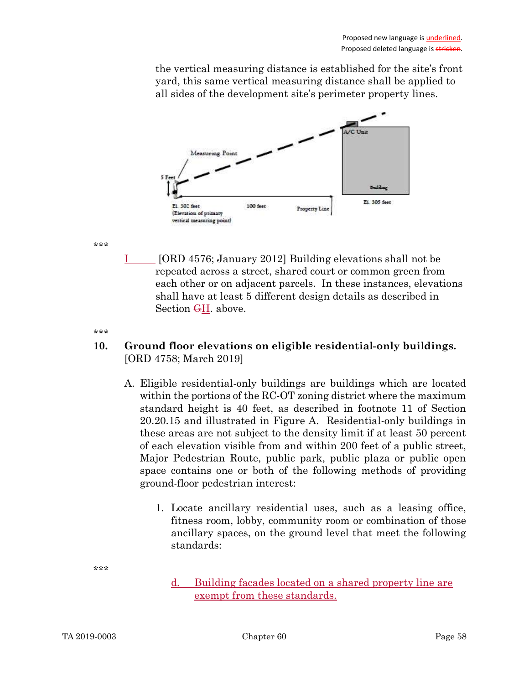the vertical measuring distance is established for the site's front yard, this same vertical measuring distance shall be applied to all sides of the development site's perimeter property lines.



\*\*\*

I [ORD 4576; January 2012] Building elevations shall not be repeated across a street, shared court or common green from each other or on adjacent parcels. In these instances, elevations shall have at least 5 different design details as described in Section GH. above.

.<br>ماه ماه ماه

### 10. Ground floor elevations on eligible residential-only buildings. [ORD 4758; March 2019]

- A. Eligible residential-only buildings are buildings which are located within the portions of the RC-OT zoning district where the maximum standard height is 40 feet, as described in footnote 11 of Section 20.20.15 and illustrated in Figure A. Residential-only buildings in these areas are not subject to the density limit if at least 50 percent of each elevation visible from and within 200 feet of a public street, Major Pedestrian Route, public park, public plaza or public open space contains one or both of the following methods of providing ground-floor pedestrian interest:
	- 1. Locate ancillary residential uses, such as a leasing office, fitness room, lobby, community room or combination of those ancillary spaces, on the ground level that meet the following standards:

\*\*\*

d. Building facades located on a shared property line are exempt from these standards.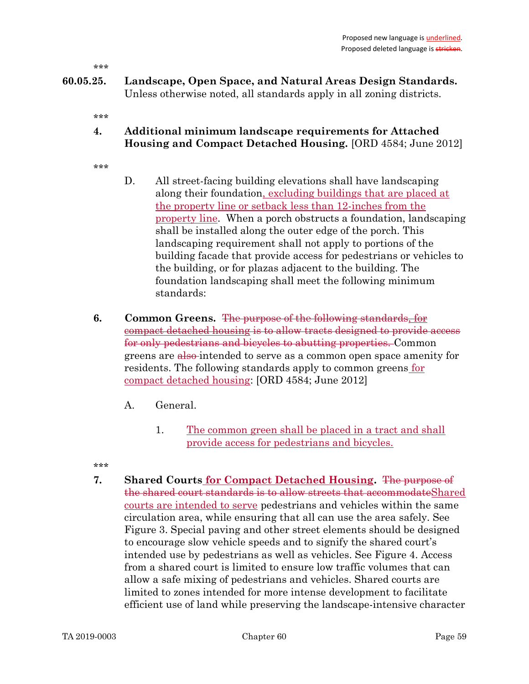- 60.05.25. Landscape, Open Space, and Natural Areas Design Standards. Unless otherwise noted, all standards apply in all zoning districts.
	- \*\*\*
	- 4. Additional minimum landscape requirements for Attached Housing and Compact Detached Housing. [ORD 4584; June 2012]
	- \*\*\*
- D. All street-facing building elevations shall have landscaping along their foundation, excluding buildings that are placed at the property line or setback less than 12-inches from the property line. When a porch obstructs a foundation, landscaping shall be installed along the outer edge of the porch. This landscaping requirement shall not apply to portions of the building facade that provide access for pedestrians or vehicles to the building, or for plazas adjacent to the building. The foundation landscaping shall meet the following minimum standards:
- 6. Common Greens. The purpose of the following standards, for compact detached housing is to allow tracts designed to provide access for only pedestrians and bicycles to abutting properties. Common greens are also intended to serve as a common open space amenity for residents. The following standards apply to common greens for compact detached housing: [ORD 4584; June 2012]
	- A. General.
		- 1. The common green shall be placed in a tract and shall provide access for pedestrians and bicycles.
- \*\*\*
- 7. Shared Courts for Compact Detached Housing. The purpose of the shared court standards is to allow streets that accommodateShared courts are intended to serve pedestrians and vehicles within the same circulation area, while ensuring that all can use the area safely. See Figure 3. Special paving and other street elements should be designed to encourage slow vehicle speeds and to signify the shared court's intended use by pedestrians as well as vehicles. See Figure 4. Access from a shared court is limited to ensure low traffic volumes that can allow a safe mixing of pedestrians and vehicles. Shared courts are limited to zones intended for more intense development to facilitate efficient use of land while preserving the landscape-intensive character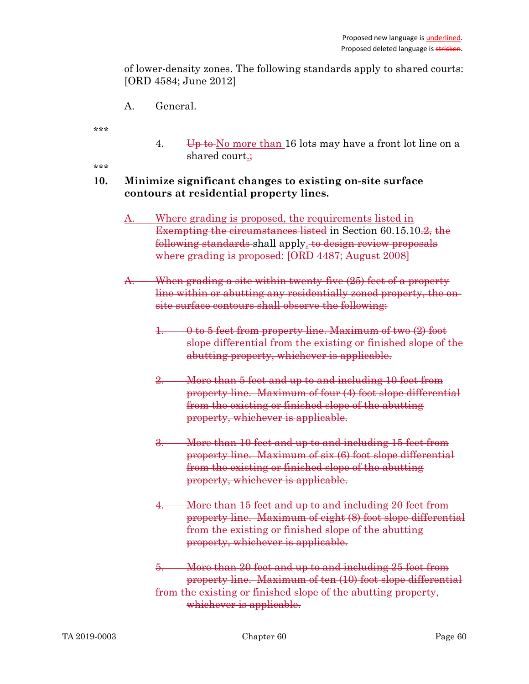of lower-density zones. The following standards apply to shared courts: [ORD 4584; June 2012]

A. General.

\*\*\*

4. Up to No more than 16 lots may have a front lot line on a shared court.;

\*\*\*

### 10. Minimize significant changes to existing on-site surface contours at residential property lines.

- A. Where grading is proposed, the requirements listed in Exempting the circumstances listed in Section 60.15.10.2, the following standards shall apply. to design review proposals where grading is proposed: [ORD 4487; August 2008]
- A. When grading a site within twenty-five (25) feet of a property line within or abutting any residentially zoned property, the onsite surface contours shall observe the following:
	- 1. 0 to 5 feet from property line. Maximum of two (2) foot slope differential from the existing or finished slope of the abutting property, whichever is applicable.
	- 2. More than 5 feet and up to and including 10 feet from property line. Maximum of four (4) foot slope differential from the existing or finished slope of the abutting property, whichever is applicable.
	- 3. More than 10 feet and up to and including 15 feet from property line. Maximum of six (6) foot slope differential from the existing or finished slope of the abutting property, whichever is applicable.
	- 4. More than 15 feet and up to and including 20 feet from property line. Maximum of eight (8) foot slope differential from the existing or finished slope of the abutting property, whichever is applicable.
	- 5. More than 20 feet and up to and including 25 feet from property line. Maximum of ten (10) foot slope differential from the existing or finished slope of the abutting property, whichever is applicable.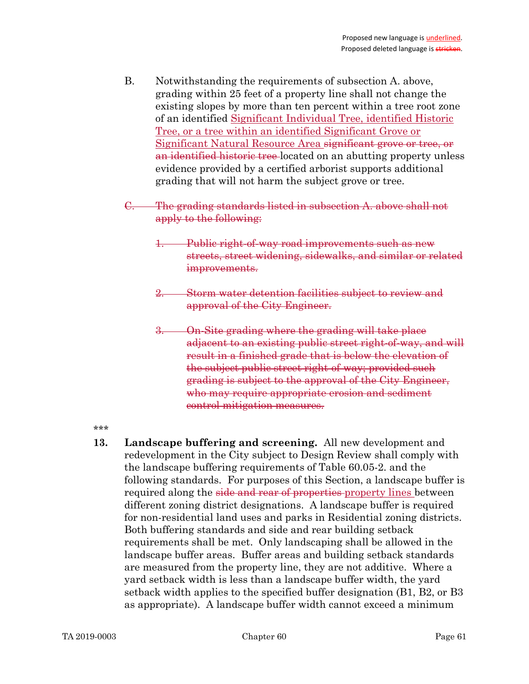- B. Notwithstanding the requirements of subsection A. above, grading within 25 feet of a property line shall not change the existing slopes by more than ten percent within a tree root zone of an identified Significant Individual Tree, identified Historic Tree, or a tree within an identified Significant Grove or Significant Natural Resource Area significant grove or tree, or an identified historic tree located on an abutting property unless evidence provided by a certified arborist supports additional grading that will not harm the subject grove or tree.
- C. The grading standards listed in subsection A. above shall not apply to the following:
	- Public right-of-way road improvements such as new streets, street widening, sidewalks, and similar or related improvements.
	- 2. Storm water detention facilities subject to review and approval of the City Engineer.
	- 3. On-Site grading where the grading will take place adjacent to an existing public street right-of-way, and will result in a finished grade that is below the elevation of the subject public street right-of-way; provided such grading is subject to the approval of the City Engineer, who may require appropriate erosion and sediment control mitigation measures.
- \*\*\*
- 13. Landscape buffering and screening. All new development and redevelopment in the City subject to Design Review shall comply with the landscape buffering requirements of Table 60.05-2. and the following standards. For purposes of this Section, a landscape buffer is required along the side and rear of properties property lines between different zoning district designations. A landscape buffer is required for non-residential land uses and parks in Residential zoning districts. Both buffering standards and side and rear building setback requirements shall be met. Only landscaping shall be allowed in the landscape buffer areas. Buffer areas and building setback standards are measured from the property line, they are not additive. Where a yard setback width is less than a landscape buffer width, the yard setback width applies to the specified buffer designation (B1, B2, or B3 as appropriate). A landscape buffer width cannot exceed a minimum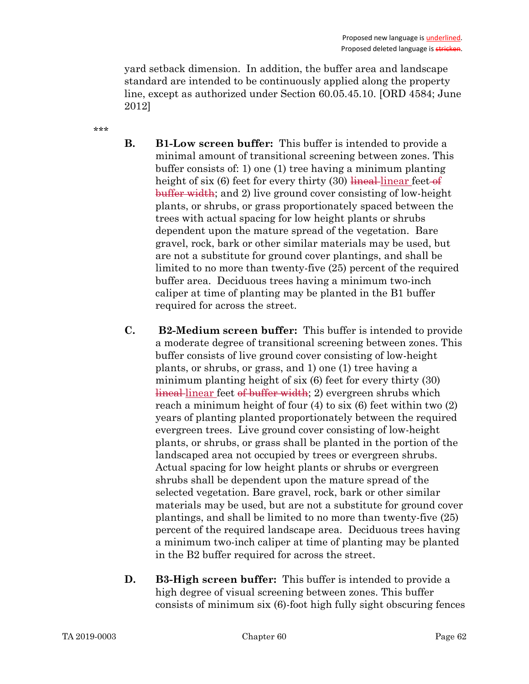yard setback dimension. In addition, the buffer area and landscape standard are intended to be continuously applied along the property line, except as authorized under Section 60.05.45.10. [ORD 4584; June 2012]

- **B.** B1-Low screen buffer: This buffer is intended to provide a minimal amount of transitional screening between zones. This buffer consists of: 1) one (1) tree having a minimum planting height of six  $(6)$  feet for every thirty  $(30)$  lineal linear feet of buffer width; and 2) live ground cover consisting of low-height plants, or shrubs, or grass proportionately spaced between the trees with actual spacing for low height plants or shrubs dependent upon the mature spread of the vegetation. Bare gravel, rock, bark or other similar materials may be used, but are not a substitute for ground cover plantings, and shall be limited to no more than twenty-five (25) percent of the required buffer area. Deciduous trees having a minimum two-inch caliper at time of planting may be planted in the B1 buffer required for across the street.
- C. B2-Medium screen buffer: This buffer is intended to provide a moderate degree of transitional screening between zones. This buffer consists of live ground cover consisting of low-height plants, or shrubs, or grass, and 1) one (1) tree having a minimum planting height of six (6) feet for every thirty (30) lineal linear feet of buffer width; 2) evergreen shrubs which reach a minimum height of four (4) to six (6) feet within two (2) years of planting planted proportionately between the required evergreen trees. Live ground cover consisting of low-height plants, or shrubs, or grass shall be planted in the portion of the landscaped area not occupied by trees or evergreen shrubs. Actual spacing for low height plants or shrubs or evergreen shrubs shall be dependent upon the mature spread of the selected vegetation. Bare gravel, rock, bark or other similar materials may be used, but are not a substitute for ground cover plantings, and shall be limited to no more than twenty-five (25) percent of the required landscape area. Deciduous trees having a minimum two-inch caliper at time of planting may be planted in the B2 buffer required for across the street.
- D. B3-High screen buffer: This buffer is intended to provide a high degree of visual screening between zones. This buffer consists of minimum six (6)-foot high fully sight obscuring fences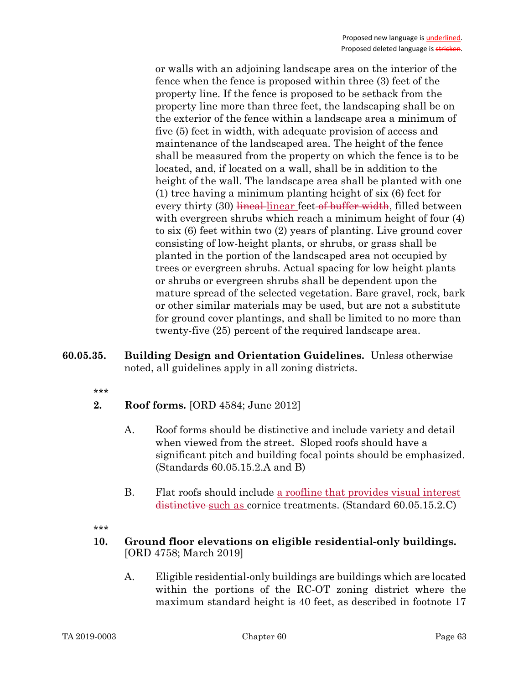or walls with an adjoining landscape area on the interior of the fence when the fence is proposed within three (3) feet of the property line. If the fence is proposed to be setback from the property line more than three feet, the landscaping shall be on the exterior of the fence within a landscape area a minimum of five (5) feet in width, with adequate provision of access and maintenance of the landscaped area. The height of the fence shall be measured from the property on which the fence is to be located, and, if located on a wall, shall be in addition to the height of the wall. The landscape area shall be planted with one (1) tree having a minimum planting height of six (6) feet for every thirty (30) lineal linear feet of buffer width, filled between with evergreen shrubs which reach a minimum height of four  $(4)$ to six (6) feet within two (2) years of planting. Live ground cover consisting of low-height plants, or shrubs, or grass shall be planted in the portion of the landscaped area not occupied by trees or evergreen shrubs. Actual spacing for low height plants or shrubs or evergreen shrubs shall be dependent upon the mature spread of the selected vegetation. Bare gravel, rock, bark or other similar materials may be used, but are not a substitute for ground cover plantings, and shall be limited to no more than twenty-five (25) percent of the required landscape area.

60.05.35. Building Design and Orientation Guidelines. Unless otherwise noted, all guidelines apply in all zoning districts.

\*\*\*

- 2. Roof forms. [ORD 4584; June 2012]
	- A. Roof forms should be distinctive and include variety and detail when viewed from the street. Sloped roofs should have a significant pitch and building focal points should be emphasized. (Standards 60.05.15.2.A and B)
	- B. Flat roofs should include a roofline that provides visual interest distinctive such as cornice treatments. (Standard 60.05.15.2.C)

\*\*\*

### 10. Ground floor elevations on eligible residential-only buildings. [ORD 4758; March 2019]

A. Eligible residential-only buildings are buildings which are located within the portions of the RC-OT zoning district where the maximum standard height is 40 feet, as described in footnote 17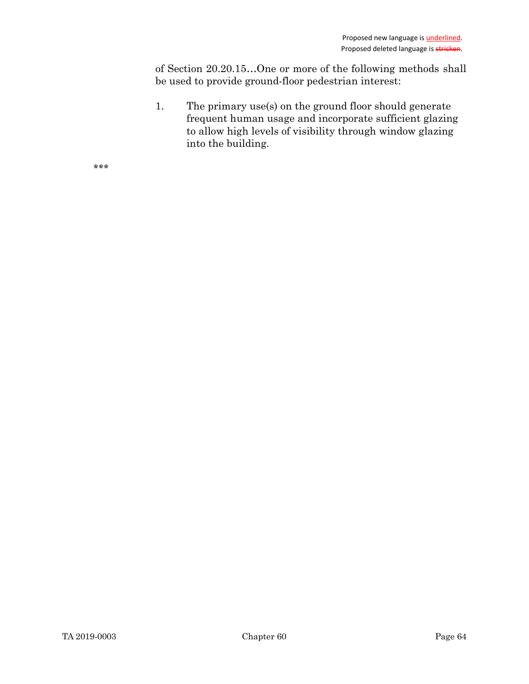of Section 20.20.15…One or more of the following methods shall be used to provide ground-floor pedestrian interest:

1. The primary use(s) on the ground floor should generate frequent human usage and incorporate sufficient glazing to allow high levels of visibility through window glazing into the building.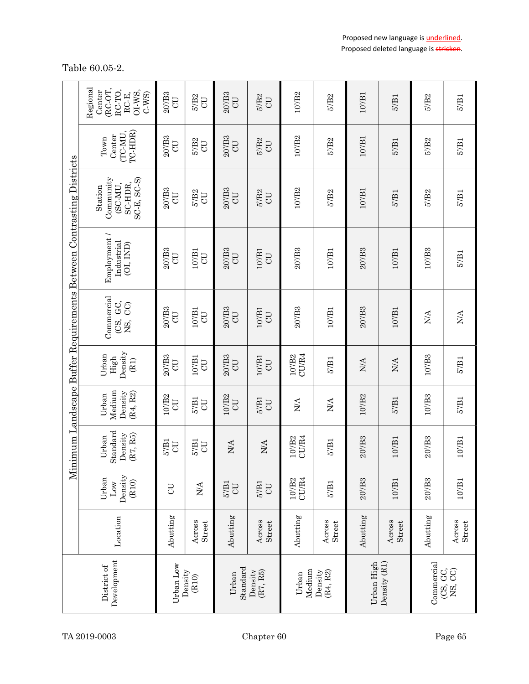# Minimum Landscape Buffer Requirements Between Contrasting Districts Regional Center (RC-OT, RC-TO, RC-E, OI-WS, C-WS) 20'/B3 CU 5'/B2 CU 20'/B3 CU 5'/B2 CU 10'/B2 5'/B2 10'/B1 5'/B1 5'/B2 5'/B1 Town Center (TC-MU, TC-HDR) 20'/B3 CU 5'/B2 CU 20'/B3 CU 5'/B2 CU 10'/B2 5'/B2 10'/B1 5'/B1 5'/B2 5'/B1 Station Community (SC-MU, SC-HDR, SC-E, SC-S) 20'/B3 CU 5'/B2 CU 20'/B3 CU 5'/B2 CU 10'/B2 5'/B2 10'/B1 5'/B1 5'/B2 5'/B1 Employment / Industrial (OI, IND) 20'/B3 CU 10'/B1 CU 20'/B3 CU 10'/B1 CU 20'/B3 10'/B1 20'/B3 10'/B1 10'/B3 5'/B1 Commercial (CS, GC, NS, CC) 20'/B3 CU 10'/B1 CU 20'/B3 CU 10'/B1 CU 20'/B3 10'/B1 20'/B3 10'/B1 N/A N/A Urban High Density (R1) 20'/B3 CU 10'/B1 CU 20'/B3 CU 10'/B1 CU 10'/B2 CU/R4 5'/B1 N/A N/A 10'/B3 5'/B1 Urban Medium Density (R4, R2) 10'/B2 CU 5'/B1 CU 10'/B2 CU 5'/B1 CU N/A N/A 10'/B2 5'/B1 10'/B3 5'/B1 Urban Standard Density (R7, R5) 5'/B1 CU 5'/B1 CU N/A N/A 10'/B2 CU/R4 5'/B1 20'/B3 10'/B1 20'/B3 10'/B1 Urban Low Density (R10) CU N/A 5'/B1 CU 5'/B1 CU 10'/B2 CU/R4 5'/B1 20'/B3 10'/B1 20'/B3 10'/B1 Location Abutting Across Street Abutting Across Street Abutting Across Street Abutting Across Street Abutting Across Street District of Development Urban Low Density (R10) Urban Standard Density (R7, R5) Urban Medium Density (R4, R2) Urban High Density (R1) Commercial (CS, GC, NS, CC)

### Table 60.05-2.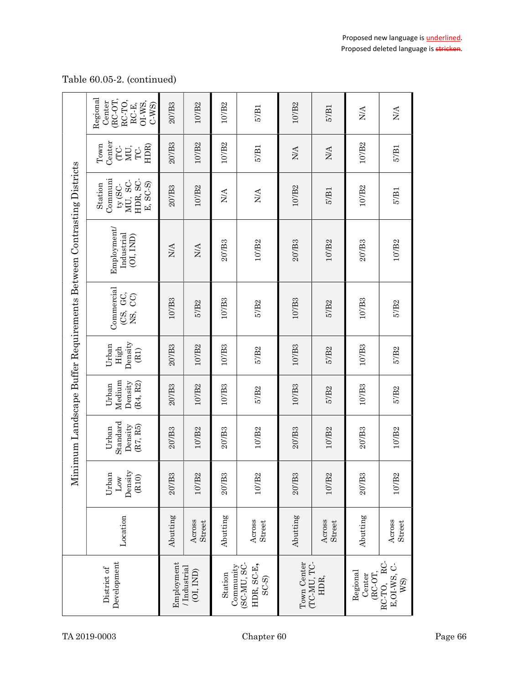| Minimum Landscape Buffer Requirements Between Contrasting Districts | Regional<br>(RC-OT,<br>RC-TO,<br>Center<br>OI-WS,<br>RC-E,<br>$C-WS$             | $20'$ B3              | $10^{\prime}/\text{B}2$                                                                               | 107B2     | $5^{\prime}/B1$                    | 107B2                      | $5'$ B1                                                            | N/A       | N/A               |  |
|---------------------------------------------------------------------|----------------------------------------------------------------------------------|-----------------------|-------------------------------------------------------------------------------------------------------|-----------|------------------------------------|----------------------------|--------------------------------------------------------------------|-----------|-------------------|--|
|                                                                     | Center<br>$_{\rm Town}$<br>HDR)<br>C-<br>MU,<br>$\Gamma$ C-                      | $20'$ B3              | $10'$ B2                                                                                              | 10'/B2    | $5′$ B <sub>1</sub>                | $\mathop{\rm NA}\nolimits$ | $\mathop{\rm NA}\nolimits$                                         | 10'/B2    | 5'/B1             |  |
|                                                                     | Communi<br>HDR, SC-<br>MU, SC-<br>E, SC-S)<br>Station<br>${\rm t} {\rm y}$ (SC-  | $20'$ B3              | $10'$ B2                                                                                              | N/A       | $\rm N/A$                          | $10'$ B2                   | $5'$ B1                                                            | 10'/B2    | 57B1              |  |
|                                                                     | Employment/<br>Industrial<br>(OI, IND)                                           | <b>N/A</b>            | $\rm N\!A$                                                                                            | 20/IB3    | 107B2                              | 20/IB3                     | 107B2                                                              | 207B3     | 107B2             |  |
|                                                                     | Commercial<br>(CS, GC,<br>$\rm CO$<br>$\overline{a}$                             | $10'$ B3              | $5'$ B <sub>2</sub>                                                                                   | $10'$ B3  | 5'/B <sub>2</sub>                  | $10'\overline{B}3$         | 5'/B <sub>2</sub>                                                  | $10'$ B 3 | 5'/B <sub>2</sub> |  |
|                                                                     | Density<br>Urban<br>$\rm{High}$<br>(R1)                                          | $20'$ B3              | $10'\overline{B}2$                                                                                    | $10'$ B3  | 5'/B <sub>2</sub>                  | $10'\overline{B}3$         | 5'/B <sub>2</sub>                                                  | $10'$ B3  | 5'/B <sub>2</sub> |  |
|                                                                     | Medium<br>(R4, R2)<br>Density<br>Urban                                           | $20'$ /B <sub>3</sub> | $10'$ B2                                                                                              | $10'$ /B3 | $5^{\prime}/B2$                    | $10^{\circ}/\mathrm{B}3$   | 5'/B <sub>2</sub>                                                  | $10'$ /B3 | 5'/B <sub>2</sub> |  |
|                                                                     | Standard<br>Density<br>(R7, R5)<br>Urban                                         | $20'$ /B <sub>3</sub> | 107B2                                                                                                 | $20'$ B3  | $10^{\prime}/\mathrm{B2}$          | $20'$ B3                   | 107B2                                                              | $20'$ B3  | 107B2             |  |
|                                                                     | $\begin{array}{c} \rm Density \\ \rm (R10) \end{array}$<br>Urban<br>$_{\rm Low}$ | $20'$ /B3             | 107B2                                                                                                 | 207B3     | 107B2                              | 207B3                      | 107B2                                                              | $20'$ /B3 | 107B2             |  |
|                                                                     | Location                                                                         | Abutting              | Across<br>Street                                                                                      | Abutting  | Across<br>Street                   | Abutting                   | Across<br>Street                                                   | Abutting  | Across<br>Street  |  |
|                                                                     | Development<br>District of                                                       |                       | Employment<br>HDR, SC-E,<br>(SC-MU, SC-<br>Community<br>/Industrial<br>(OI, IND)<br>Station<br>$SC-S$ |           | Town Center<br>(TC-MU, TC-<br>HDR, |                            | RC-TO, RC-<br>E, OI-WS, C-<br>Regional<br>(RC-OT,<br>Center<br>WS) |           |                   |  |

Table 60.05-2. (continued)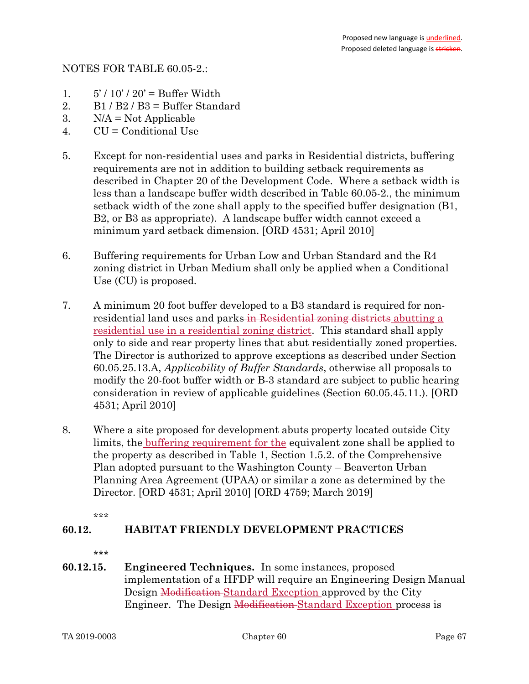NOTES FOR TABLE 60.05-2.:

- 1.  $5'/10'/20'$  = Buffer Width
- 2. B1 / B2 / B3 = Buffer Standard
- 3.  $N/A = Not Applicable$
- 4. CU = Conditional Use
- 5. Except for non-residential uses and parks in Residential districts, buffering requirements are not in addition to building setback requirements as described in Chapter 20 of the Development Code. Where a setback width is less than a landscape buffer width described in Table 60.05-2., the minimum setback width of the zone shall apply to the specified buffer designation (B1, B2, or B3 as appropriate). A landscape buffer width cannot exceed a minimum yard setback dimension. [ORD 4531; April 2010]
- 6. Buffering requirements for Urban Low and Urban Standard and the R4 zoning district in Urban Medium shall only be applied when a Conditional Use (CU) is proposed.
- 7. A minimum 20 foot buffer developed to a B3 standard is required for nonresidential land uses and parks in Residential zoning districts abutting a residential use in a residential zoning district. This standard shall apply only to side and rear property lines that abut residentially zoned properties. The Director is authorized to approve exceptions as described under Section 60.05.25.13.A, Applicability of Buffer Standards, otherwise all proposals to modify the 20-foot buffer width or B-3 standard are subject to public hearing consideration in review of applicable guidelines (Section 60.05.45.11.). [ORD 4531; April 2010]
- 8. Where a site proposed for development abuts property located outside City limits, the buffering requirement for the equivalent zone shall be applied to the property as described in Table 1, Section 1.5.2. of the Comprehensive Plan adopted pursuant to the Washington County – Beaverton Urban Planning Area Agreement (UPAA) or similar a zone as determined by the Director. [ORD 4531; April 2010] [ORD 4759; March 2019]
	- \*\*\*

### 60.12. HABITAT FRIENDLY DEVELOPMENT PRACTICES

\*\*\*

60.12.15. Engineered Techniques. In some instances, proposed implementation of a HFDP will require an Engineering Design Manual Design Modification Standard Exception approved by the City Engineer. The Design Modification Standard Exception process is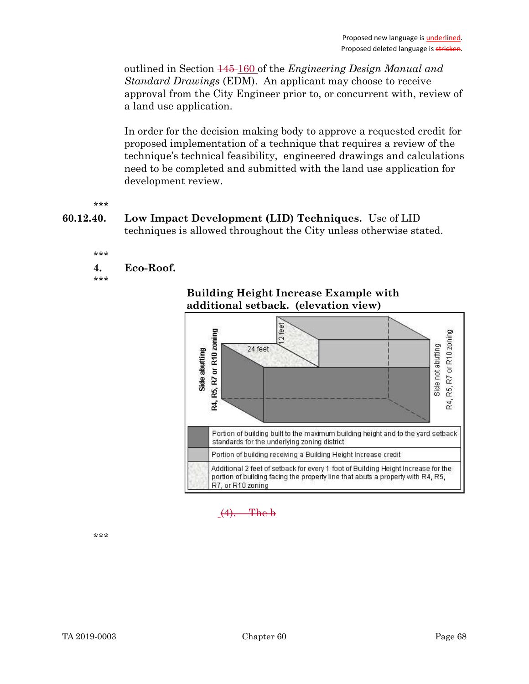outlined in Section 145 160 of the Engineering Design Manual and Standard Drawings (EDM). An applicant may choose to receive approval from the City Engineer prior to, or concurrent with, review of a land use application.

In order for the decision making body to approve a requested credit for proposed implementation of a technique that requires a review of the technique's technical feasibility, engineered drawings and calculations need to be completed and submitted with the land use application for development review.

\*\*\*

60.12.40. Low Impact Development (LID) Techniques. Use of LID techniques is allowed throughout the City unless otherwise stated.

\*\*\*

- 4. Eco-Roof.
- \*\*\*

Building Height Increase Example with additional setback. (elevation view)





.<br>ماه ماه ماه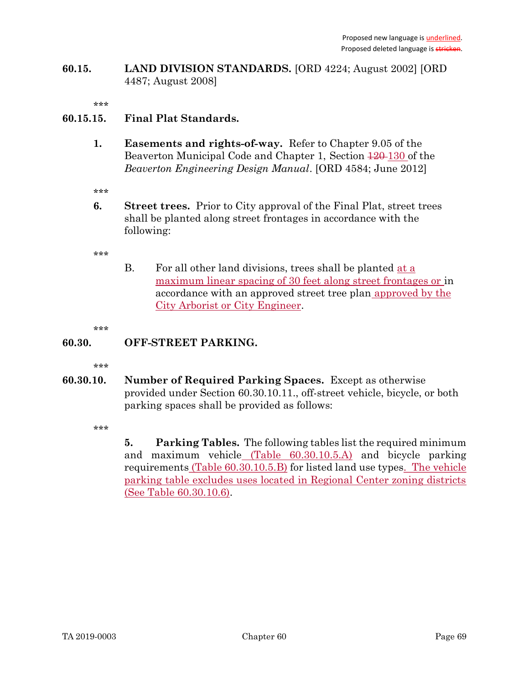### 60.15. LAND DIVISION STANDARDS. [ORD 4224; August 2002] [ORD 4487; August 2008]

\*\*\*

### 60.15.15. Final Plat Standards.

1. Easements and rights-of-way. Refer to Chapter 9.05 of the Beaverton Municipal Code and Chapter 1, Section  $\frac{120-130}{20}$  of the Beaverton Engineering Design Manual. [ORD 4584; June 2012]

\*\*\*

6. Street trees. Prior to City approval of the Final Plat, street trees shall be planted along street frontages in accordance with the following:

\*\*\*

B. For all other land divisions, trees shall be planted at a maximum linear spacing of 30 feet along street frontages or in accordance with an approved street tree plan approved by the City Arborist or City Engineer.

\*\*\*

### 60.30. OFF-STREET PARKING.

\*\*\*

60.30.10. Number of Required Parking Spaces. Except as otherwise provided under Section 60.30.10.11., off-street vehicle, bicycle, or both parking spaces shall be provided as follows:

\*\*\*

5. Parking Tables. The following tables list the required minimum and maximum vehicle (Table 60.30.10.5.A) and bicycle parking requirements (Table 60.30.10.5.B) for listed land use types. The vehicle parking table excludes uses located in Regional Center zoning districts (See Table 60.30.10.6).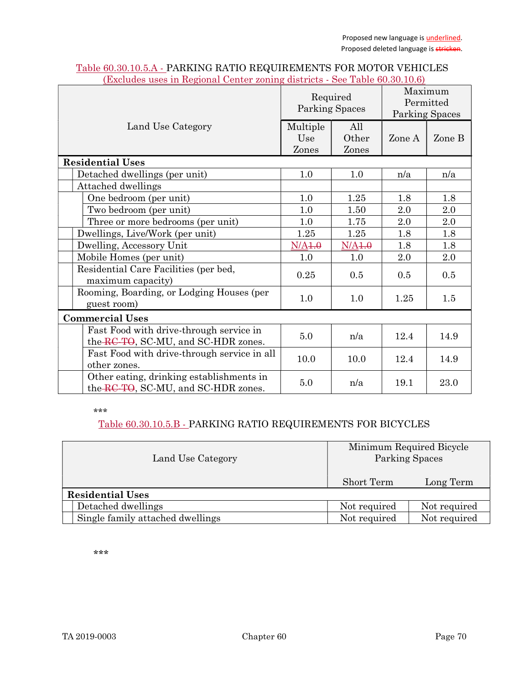| excludes uses in regional center zoning districts - See Table 60.00.10.0        |              |                                   |                                        |         |  |  |  |
|---------------------------------------------------------------------------------|--------------|-----------------------------------|----------------------------------------|---------|--|--|--|
|                                                                                 |              | Required<br><b>Parking Spaces</b> | Maximum<br>Permitted<br>Parking Spaces |         |  |  |  |
| Land Use Category                                                               | Multiple     | All                               |                                        |         |  |  |  |
|                                                                                 | Use<br>Zones | Other<br>Zones                    | Zone A                                 | Zone B  |  |  |  |
| <b>Residential Uses</b>                                                         |              |                                   |                                        |         |  |  |  |
| Detached dwellings (per unit)                                                   | 1.0          | 1.0                               | n/a                                    | n/a     |  |  |  |
| Attached dwellings                                                              |              |                                   |                                        |         |  |  |  |
| One bedroom (per unit)                                                          | 1.0          | 1.25                              | 1.8                                    | 1.8     |  |  |  |
| Two bedroom (per unit)                                                          | 1.0          | 1.50                              | 2.0                                    | 2.0     |  |  |  |
| Three or more bedrooms (per unit)                                               | 1.0          | 1.75                              | 2.0                                    | 2.0     |  |  |  |
| Dwellings, Live/Work (per unit)                                                 | 1.25         | 1.25                              | 1.8                                    | 1.8     |  |  |  |
| Dwelling, Accessory Unit                                                        | N/A4.0       | N/A4.0                            | 1.8                                    | 1.8     |  |  |  |
| Mobile Homes (per unit)                                                         | 1.0          | 1.0                               | 2.0                                    | $2.0\,$ |  |  |  |
| Residential Care Facilities (per bed,<br>maximum capacity)                      | 0.25         | 0.5                               | 0.5                                    | 0.5     |  |  |  |
| Rooming, Boarding, or Lodging Houses (per<br>guest room)                        | 1.0          | 1.0                               | 1.25                                   | 1.5     |  |  |  |
| <b>Commercial Uses</b>                                                          |              |                                   |                                        |         |  |  |  |
| Fast Food with drive-through service in<br>the RC-TO, SC-MU, and SC-HDR zones.  | 5.0          | n/a                               | 12.4                                   | 14.9    |  |  |  |
| Fast Food with drive-through service in all<br>other zones.                     | 10.0         | 10.0                              | 12.4                                   | 14.9    |  |  |  |
| Other eating, drinking establishments in<br>the RC-TO, SC-MU, and SC-HDR zones. | 5.0          | n/a                               | 19.1                                   | 23.0    |  |  |  |

### Table 60.30.10.5.A - PARKING RATIO REQUIREMENTS FOR MOTOR VEHICLES (Excludes uses in Regional Center zoning districts - See Table 60.30.10.6)

### \*\*\*

# Table 60.30.10.5.B - PARKING RATIO REQUIREMENTS FOR BICYCLES

| Land Use Category                | Minimum Required Bicycle<br>Parking Spaces |              |  |  |  |  |  |
|----------------------------------|--------------------------------------------|--------------|--|--|--|--|--|
|                                  | Short Term                                 | Long Term    |  |  |  |  |  |
| <b>Residential Uses</b>          |                                            |              |  |  |  |  |  |
| Detached dwellings               | Not required                               | Not required |  |  |  |  |  |
| Single family attached dwellings | Not required                               | Not required |  |  |  |  |  |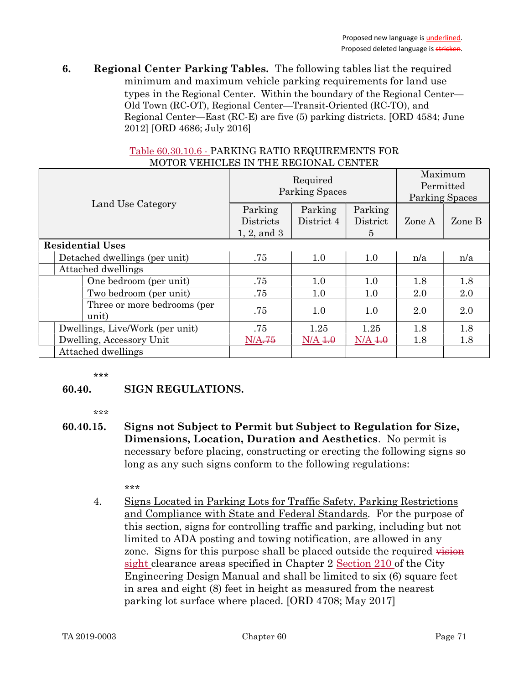6. Regional Center Parking Tables. The following tables list the required minimum and maximum vehicle parking requirements for land use types in the Regional Center. Within the boundary of the Regional Center— Old Town (RC-OT), Regional Center—Transit-Oriented (RC-TO), and Regional Center—East (RC-E) are five (5) parking districts. [ORD 4584; June 2012] [ORD 4686; July 2016]

| Land Use Category       |                                 |                                      |                                     | Required<br>Parking Spaces | Maximum<br>Permitted<br><b>Parking Spaces</b> |        |        |
|-------------------------|---------------------------------|--------------------------------------|-------------------------------------|----------------------------|-----------------------------------------------|--------|--------|
|                         |                                 |                                      | Parking<br>Districts<br>1, 2, and 3 | Parking<br>District 4      | Parking<br>District<br>5                      | Zone A | Zone B |
| <b>Residential Uses</b> |                                 |                                      |                                     |                            |                                               |        |        |
|                         |                                 | Detached dwellings (per unit)        | .75                                 | $1.0\,$                    | 1.0                                           | n/a    | n/a    |
|                         | Attached dwellings              |                                      |                                     |                            |                                               |        |        |
|                         |                                 | One bedroom (per unit)               | .75                                 | 1.0                        | 1.0                                           | 1.8    | 1.8    |
|                         | Two bedroom (per unit)          |                                      | .75                                 | $1.0\,$                    | 1.0                                           | 2.0    | 2.0    |
|                         |                                 | Three or more bedrooms (per<br>unit) | .75                                 | 1.0                        | 1.0                                           | 2.0    | 2.0    |
|                         | Dwellings, Live/Work (per unit) |                                      | .75                                 | 1.25                       | 1.25                                          | 1.8    | 1.8    |
|                         | Dwelling, Accessory Unit        |                                      | N/A.75                              | $N/A$ $\overline{4.0}$     | $N/A$ $\overline{4.0}$                        | 1.8    | 1.8    |
|                         | Attached dwellings              |                                      |                                     |                            |                                               |        |        |

### Table 60.30.10.6 - PARKING RATIO REQUIREMENTS FOR MOTOR VEHICLES IN THE REGIONAL CENTER

\*\*\*

# 60.40. SIGN REGULATIONS.

\*\*\*

60.40.15. Signs not Subject to Permit but Subject to Regulation for Size, Dimensions, Location, Duration and Aesthetics. No permit is necessary before placing, constructing or erecting the following signs so long as any such signs conform to the following regulations:

\*\*\*

4. Signs Located in Parking Lots for Traffic Safety, Parking Restrictions and Compliance with State and Federal Standards. For the purpose of this section, signs for controlling traffic and parking, including but not limited to ADA posting and towing notification, are allowed in any zone. Signs for this purpose shall be placed outside the required  $\overline{\text{vision}}$ sight clearance areas specified in Chapter 2 Section 210 of the City Engineering Design Manual and shall be limited to six (6) square feet in area and eight (8) feet in height as measured from the nearest parking lot surface where placed. [ORD 4708; May 2017]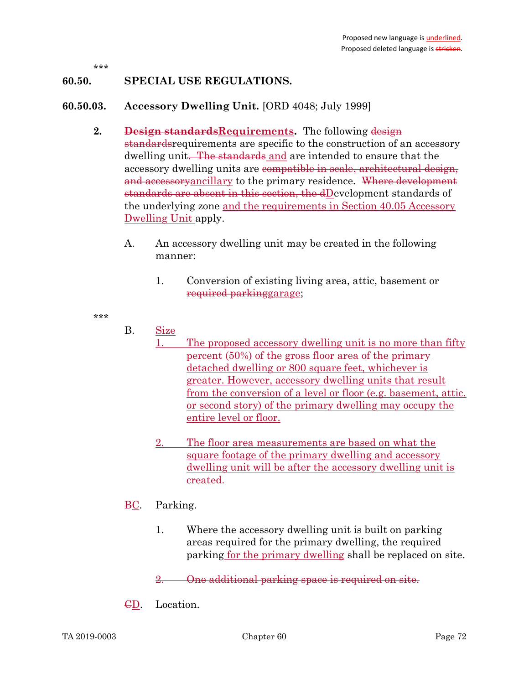# 60.50. SPECIAL USE REGULATIONS.

### 60.50.03. Accessory Dwelling Unit. [ORD 4048; July 1999]

- 2. Design standardsRequirements. The following design standardsrequirements are specific to the construction of an accessory dwelling unit. The standards and are intended to ensure that the accessory dwelling units are compatible in scale, architectural design, and accessoryancillary to the primary residence. Where development standards are absent in this section, the dDevelopment standards of the underlying zone and the requirements in Section 40.05 Accessory Dwelling Unit apply.
	- A. An accessory dwelling unit may be created in the following manner:
		- 1. Conversion of existing living area, attic, basement or required parkinggarage;

\*\*\*

- B. Size
	- 1. The proposed accessory dwelling unit is no more than fifty percent (50%) of the gross floor area of the primary detached dwelling or 800 square feet, whichever is greater. However, accessory dwelling units that result from the conversion of a level or floor (e.g. basement, attic, or second story) of the primary dwelling may occupy the entire level or floor.
	- 2. The floor area measurements are based on what the square footage of the primary dwelling and accessory dwelling unit will be after the accessory dwelling unit is created.
- BC. Parking.
	- 1. Where the accessory dwelling unit is built on parking areas required for the primary dwelling, the required parking for the primary dwelling shall be replaced on site.

2. One additional parking space is required on site.

CD. Location.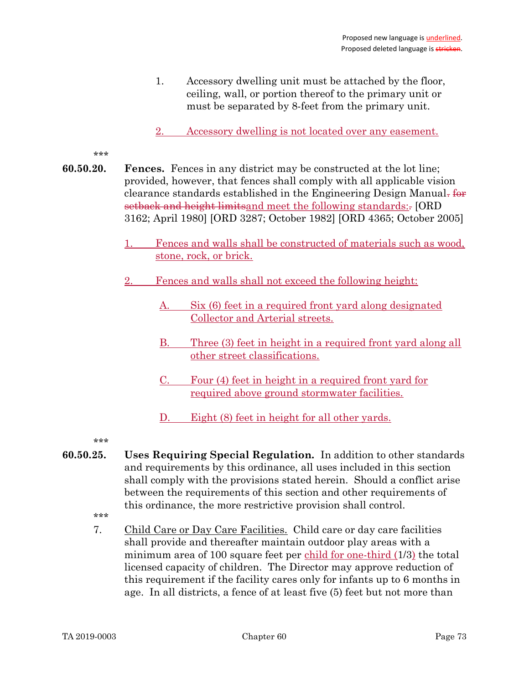- 1. Accessory dwelling unit must be attached by the floor, ceiling, wall, or portion thereof to the primary unit or must be separated by 8-feet from the primary unit.
- 2. Accessory dwelling is not located over any easement.

\*\*\*

- 60.50.20. Fences. Fences in any district may be constructed at the lot line; provided, however, that fences shall comply with all applicable vision clearance standards established in the Engineering Design Manual. for setback and height limitsand meet the following standards:. [ORD 3162; April 1980] [ORD 3287; October 1982] [ORD 4365; October 2005]
	- 1. Fences and walls shall be constructed of materials such as wood, stone, rock, or brick.
	- 2. Fences and walls shall not exceed the following height:
		- A. Six (6) feet in a required front yard along designated Collector and Arterial streets.
		- B. Three (3) feet in height in a required front yard along all other street classifications.
		- C. Four (4) feet in height in a required front yard for required above ground stormwater facilities.
		- D. Eight (8) feet in height for all other yards.

\*\*\*

60.50.25. Uses Requiring Special Regulation. In addition to other standards and requirements by this ordinance, all uses included in this section shall comply with the provisions stated herein. Should a conflict arise between the requirements of this section and other requirements of this ordinance, the more restrictive provision shall control.

\*\*\*

 7. Child Care or Day Care Facilities. Child care or day care facilities shall provide and thereafter maintain outdoor play areas with a minimum area of 100 square feet per child for one-third (1/3) the total licensed capacity of children. The Director may approve reduction of this requirement if the facility cares only for infants up to 6 months in age. In all districts, a fence of at least five (5) feet but not more than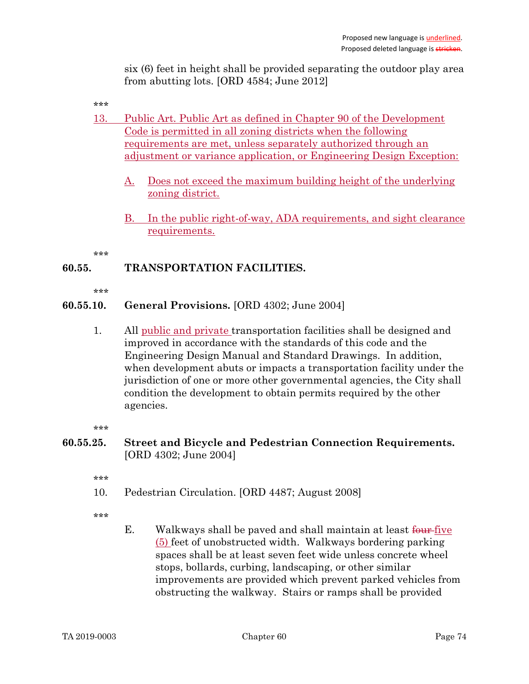six (6) feet in height shall be provided separating the outdoor play area from abutting lots. [ORD 4584; June 2012]

\*\*\*

- 13. Public Art. Public Art as defined in Chapter 90 of the Development Code is permitted in all zoning districts when the following requirements are met, unless separately authorized through an adjustment or variance application, or Engineering Design Exception:
	- A. Does not exceed the maximum building height of the underlying zoning district.
	- B. In the public right-of-way, ADA requirements, and sight clearance requirements.

\*\*\*

## 60.55. TRANSPORTATION FACILITIES.

\*\*\*

## 60.55.10. General Provisions. [ORD 4302; June 2004]

1. All public and private transportation facilities shall be designed and improved in accordance with the standards of this code and the Engineering Design Manual and Standard Drawings. In addition, when development abuts or impacts a transportation facility under the jurisdiction of one or more other governmental agencies, the City shall condition the development to obtain permits required by the other agencies.

.<br>ماه ماه ماه

60.55.25. Street and Bicycle and Pedestrian Connection Requirements. [ORD 4302; June 2004]

\*\*\*

10. Pedestrian Circulation. [ORD 4487; August 2008]

\*\*\*

E. Walkways shall be paved and shall maintain at least four-five (5) feet of unobstructed width. Walkways bordering parking spaces shall be at least seven feet wide unless concrete wheel stops, bollards, curbing, landscaping, or other similar improvements are provided which prevent parked vehicles from obstructing the walkway. Stairs or ramps shall be provided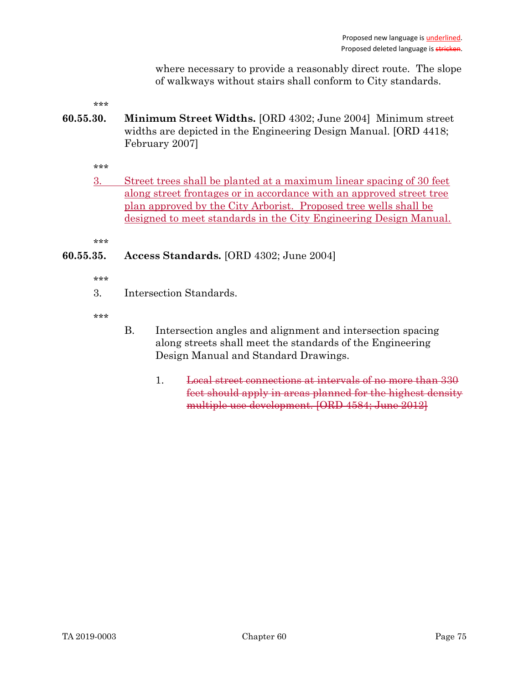where necessary to provide a reasonably direct route. The slope of walkways without stairs shall conform to City standards.

\*\*\*

60.55.30. Minimum Street Widths. [ORD 4302; June 2004] Minimum street widths are depicted in the Engineering Design Manual. [ORD 4418; February 2007]

\*\*\*

3. Street trees shall be planted at a maximum linear spacing of 30 feet along street frontages or in accordance with an approved street tree plan approved by the City Arborist. Proposed tree wells shall be designed to meet standards in the City Engineering Design Manual.

\*\*\*

## 60.55.35. Access Standards. [ORD 4302; June 2004]

\*\*\*

3. Intersection Standards.

\*\*\*

- B. Intersection angles and alignment and intersection spacing along streets shall meet the standards of the Engineering Design Manual and Standard Drawings.
	- 1. Local street connections at intervals of no more than 330 feet should apply in areas planned for the highest density multiple use development. [ORD 4584; June 2012]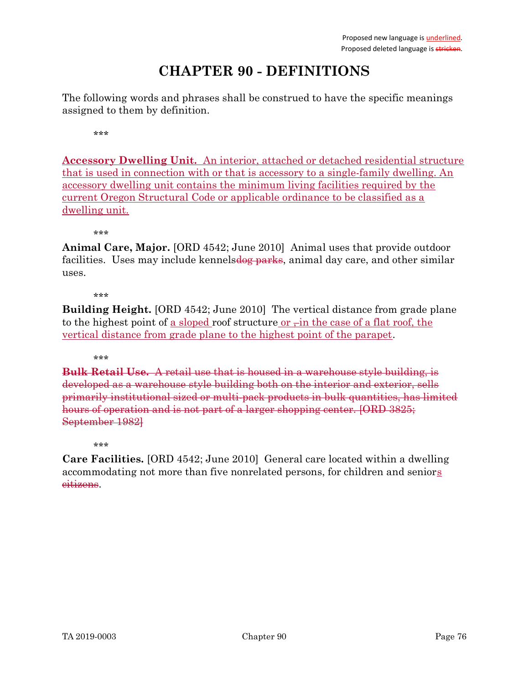## CHAPTER 90 - DEFINITIONS

The following words and phrases shall be construed to have the specific meanings assigned to them by definition.

\*\*\*

Accessory Dwelling Unit. An interior, attached or detached residential structure that is used in connection with or that is accessory to a single-family dwelling. An accessory dwelling unit contains the minimum living facilities required by the current Oregon Structural Code or applicable ordinance to be classified as a dwelling unit.

\*\*\*

Animal Care, Major. [ORD 4542; June 2010] Animal uses that provide outdoor facilities. Uses may include kennelsdog parks, animal day care, and other similar uses.

\*\*\*

Building Height. [ORD 4542; June 2010] The vertical distance from grade plane to the highest point of a sloped roof structure or  $\frac{1}{x}$  in the case of a flat roof, the vertical distance from grade plane to the highest point of the parapet.

\*\*\*

Bulk Retail Use. A retail use that is housed in a warehouse style building, is developed as a warehouse style building both on the interior and exterior, sells primarily institutional sized or multi-pack products in bulk quantities, has limited hours of operation and is not part of a larger shopping center. [ORD 3825; September 1982]

\*\*\*

Care Facilities. [ORD 4542; June 2010] General care located within a dwelling accommodating not more than five nonrelated persons, for children and seniors citizens.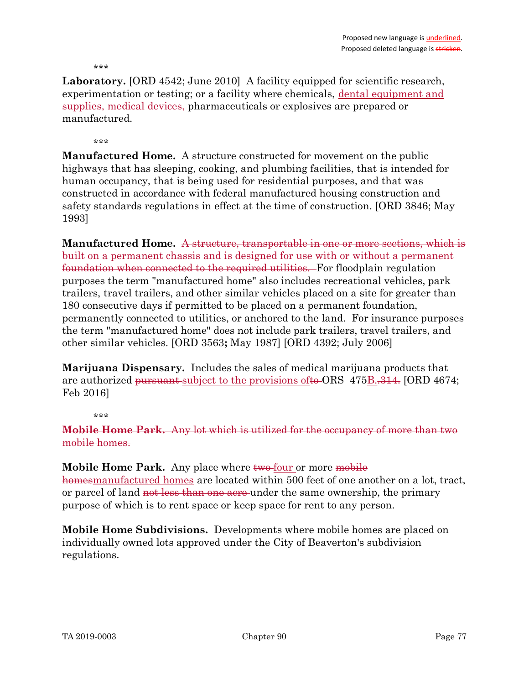\*\*\*

Laboratory. [ORD 4542; June 2010] A facility equipped for scientific research, experimentation or testing; or a facility where chemicals, dental equipment and supplies, medical devices, pharmaceuticals or explosives are prepared or manufactured.

\*\*\*

Manufactured Home. A structure constructed for movement on the public highways that has sleeping, cooking, and plumbing facilities, that is intended for human occupancy, that is being used for residential purposes, and that was constructed in accordance with federal manufactured housing construction and safety standards regulations in effect at the time of construction. [ORD 3846; May 1993]

Manufactured Home. A structure, transportable in one or more sections, which is built on a permanent chassis and is designed for use with or without a permanent foundation when connected to the required utilities. For floodplain regulation purposes the term "manufactured home" also includes recreational vehicles, park trailers, travel trailers, and other similar vehicles placed on a site for greater than 180 consecutive days if permitted to be placed on a permanent foundation, permanently connected to utilities, or anchored to the land. For insurance purposes the term "manufactured home" does not include park trailers, travel trailers, and other similar vehicles. [ORD 3563; May 1987] [ORD 4392; July 2006]

Marijuana Dispensary. Includes the sales of medical marijuana products that are authorized pursuant subject to the provisions of to ORS 475B. 314. [ORD 4674; Feb 2016]

\*\*\*

Mobile Home Park. Any lot which is utilized for the occupancy of more than two mobile homes.

Mobile Home Park. Any place where two four or more mobile homesmanufactured homes are located within 500 feet of one another on a lot, tract, or parcel of land not less than one acre-under the same ownership, the primary purpose of which is to rent space or keep space for rent to any person.

Mobile Home Subdivisions. Developments where mobile homes are placed on individually owned lots approved under the City of Beaverton's subdivision regulations.